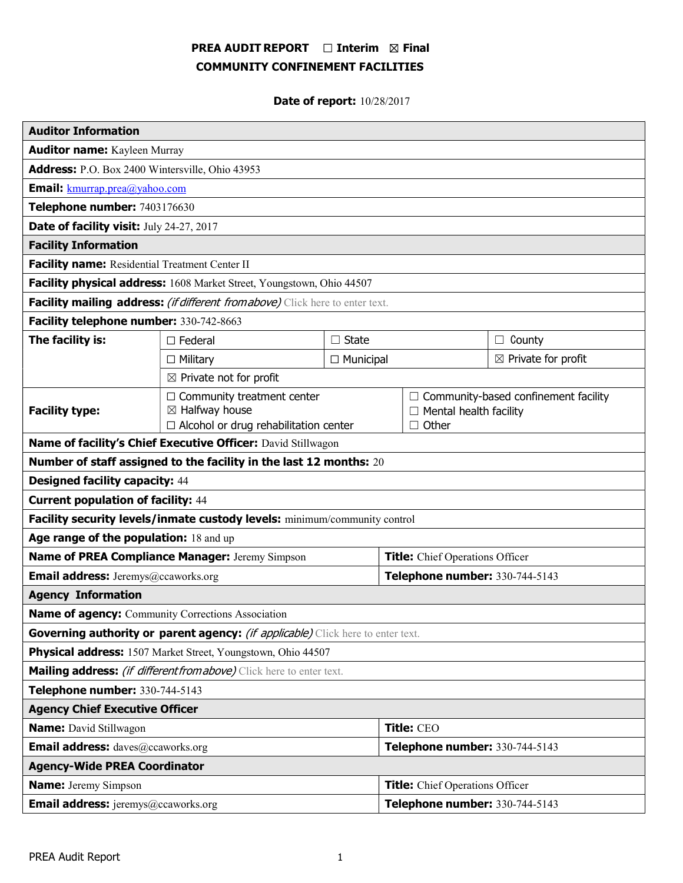# PREA AUDIT REPORT  $\Box$  Interim  $\boxtimes$  Final COMMUNITY CONFINEMENT FACILITIES

Date of report: 10/28/2017

| <b>Auditor Information</b>                                                             |                                                                |                  |                                                                              |                                |
|----------------------------------------------------------------------------------------|----------------------------------------------------------------|------------------|------------------------------------------------------------------------------|--------------------------------|
| <b>Auditor name:</b> Kayleen Murray                                                    |                                                                |                  |                                                                              |                                |
| Address: P.O. Box 2400 Wintersville, Ohio 43953                                        |                                                                |                  |                                                                              |                                |
| <b>Email:</b> kmurrap.prea@yahoo.com                                                   |                                                                |                  |                                                                              |                                |
| Telephone number: 7403176630                                                           |                                                                |                  |                                                                              |                                |
| Date of facility visit: July 24-27, 2017                                               |                                                                |                  |                                                                              |                                |
| <b>Facility Information</b>                                                            |                                                                |                  |                                                                              |                                |
| Facility name: Residential Treatment Center II                                         |                                                                |                  |                                                                              |                                |
| Facility physical address: 1608 Market Street, Youngstown, Ohio 44507                  |                                                                |                  |                                                                              |                                |
| Facility mailing address: (if different from above) Click here to enter text.          |                                                                |                  |                                                                              |                                |
| Facility telephone number: 330-742-8663                                                |                                                                |                  |                                                                              |                                |
| The facility is:                                                                       | $\Box$ State<br>$\Box$ Federal                                 |                  |                                                                              | $\Box$ County                  |
|                                                                                        | $\Box$ Military                                                | $\Box$ Municipal |                                                                              | $\boxtimes$ Private for profit |
| $\boxtimes$ Private not for profit                                                     |                                                                |                  |                                                                              |                                |
| <b>Facility type:</b>                                                                  | $\Box$ Community treatment center<br>$\boxtimes$ Halfway house |                  | $\Box$ Community-based confinement facility<br>$\Box$ Mental health facility |                                |
|                                                                                        | $\Box$ Alcohol or drug rehabilitation center                   |                  | $\Box$ Other                                                                 |                                |
| Name of facility's Chief Executive Officer: David Stillwagon                           |                                                                |                  |                                                                              |                                |
| Number of staff assigned to the facility in the last 12 months: 20                     |                                                                |                  |                                                                              |                                |
| <b>Designed facility capacity: 44</b>                                                  |                                                                |                  |                                                                              |                                |
| <b>Current population of facility: 44</b>                                              |                                                                |                  |                                                                              |                                |
| Facility security levels/inmate custody levels: minimum/community control              |                                                                |                  |                                                                              |                                |
| Age range of the population: 18 and up                                                 |                                                                |                  |                                                                              |                                |
| Name of PREA Compliance Manager: Jeremy Simpson                                        |                                                                |                  | Title: Chief Operations Officer                                              |                                |
| <b>Email address:</b> Jeremys@ccaworks.org                                             |                                                                |                  | Telephone number: 330-744-5143                                               |                                |
| <b>Agency Information</b>                                                              |                                                                |                  |                                                                              |                                |
| Name of agency: Community Corrections Association                                      |                                                                |                  |                                                                              |                                |
| Governing authority or parent agency: <i>(if applicable)</i> Click here to enter text. |                                                                |                  |                                                                              |                                |
| Physical address: 1507 Market Street, Youngstown, Ohio 44507                           |                                                                |                  |                                                                              |                                |
| Mailing address: <i>(if different from above)</i> Click here to enter text.            |                                                                |                  |                                                                              |                                |
| Telephone number: 330-744-5143                                                         |                                                                |                  |                                                                              |                                |
| <b>Agency Chief Executive Officer</b>                                                  |                                                                |                  |                                                                              |                                |
| <b>Name:</b> David Stillwagon                                                          |                                                                |                  | Title: CEO                                                                   |                                |
| <b>Email address:</b> daves@ccaworks.org                                               |                                                                |                  | Telephone number: 330-744-5143                                               |                                |
| <b>Agency-Wide PREA Coordinator</b>                                                    |                                                                |                  |                                                                              |                                |
| <b>Name:</b> Jeremy Simpson                                                            |                                                                |                  | Title: Chief Operations Officer                                              |                                |
| <b>Email address:</b> jeremys@ccaworks.org                                             |                                                                |                  | Telephone number: 330-744-5143                                               |                                |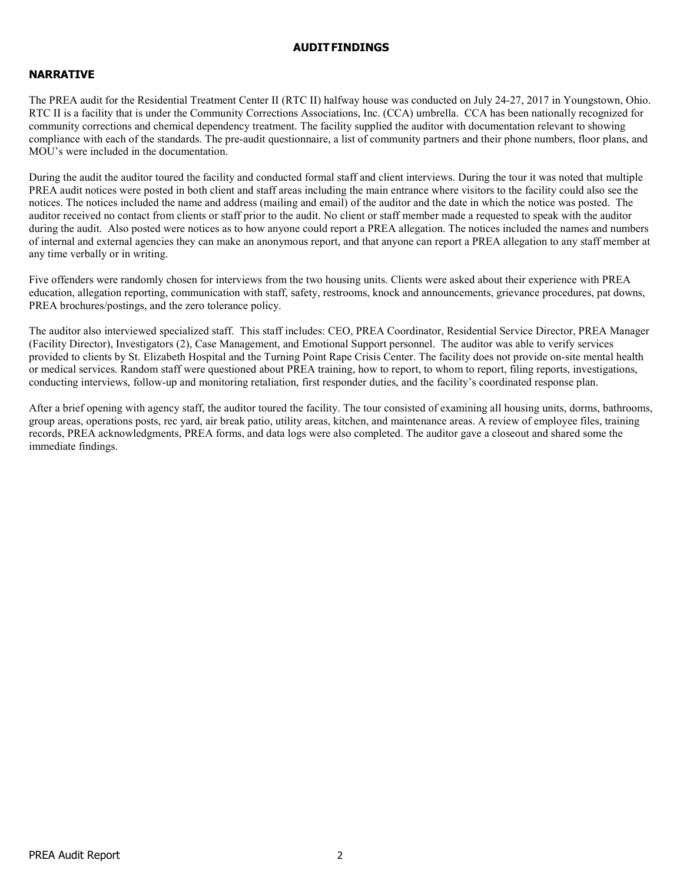### AUDIT FINDINGS

# NARRATIVE

The PREA audit for the Residential Treatment Center II (RTC II) halfway house was conducted on July 24-27, 2017 in Youngstown, Ohio. RTC II is a facility that is under the Community Corrections Associations, Inc. (CCA) umbrella. CCA has been nationally recognized for community corrections and chemical dependency treatment. The facility supplied the auditor with documentation relevant to showing compliance with each of the standards. The pre-audit questionnaire, a list of community partners and their phone numbers, floor plans, and MOU's were included in the documentation.

During the audit the auditor toured the facility and conducted formal staff and client interviews. During the tour it was noted that multiple PREA audit notices were posted in both client and staff areas including the main entrance where visitors to the facility could also see the notices. The notices included the name and address (mailing and email) of the auditor and the date in which the notice was posted. The auditor received no contact from clients or staff prior to the audit. No client or staff member made a requested to speak with the auditor during the audit. Also posted were notices as to how anyone could report a PREA allegation. The notices included the names and numbers of internal and external agencies they can make an anonymous report, and that anyone can report a PREA allegation to any staff member at any time verbally or in writing.

Five offenders were randomly chosen for interviews from the two housing units. Clients were asked about their experience with PREA education, allegation reporting, communication with staff, safety, restrooms, knock and announcements, grievance procedures, pat downs, PREA brochures/postings, and the zero tolerance policy.

The auditor also interviewed specialized staff. This staff includes: CEO, PREA Coordinator, Residential Service Director, PREA Manager (Facility Director), Investigators (2), Case Management, and Emotional Support personnel. The auditor was able to verify services provided to clients by St. Elizabeth Hospital and the Turning Point Rape Crisis Center. The facility does not provide on-site mental health or medical services. Random staff were questioned about PREA training, how to report, to whom to report, filing reports, investigations, conducting interviews, follow-up and monitoring retaliation, first responder duties, and the facility's coordinated response plan.

After a brief opening with agency staff, the auditor toured the facility. The tour consisted of examining all housing units, dorms, bathrooms, group areas, operations posts, rec yard, air break patio, utility areas, kitchen, and maintenance areas. A review of employee files, training records, PREA acknowledgments, PREA forms, and data logs were also completed. The auditor gave a closeout and shared some the immediate findings.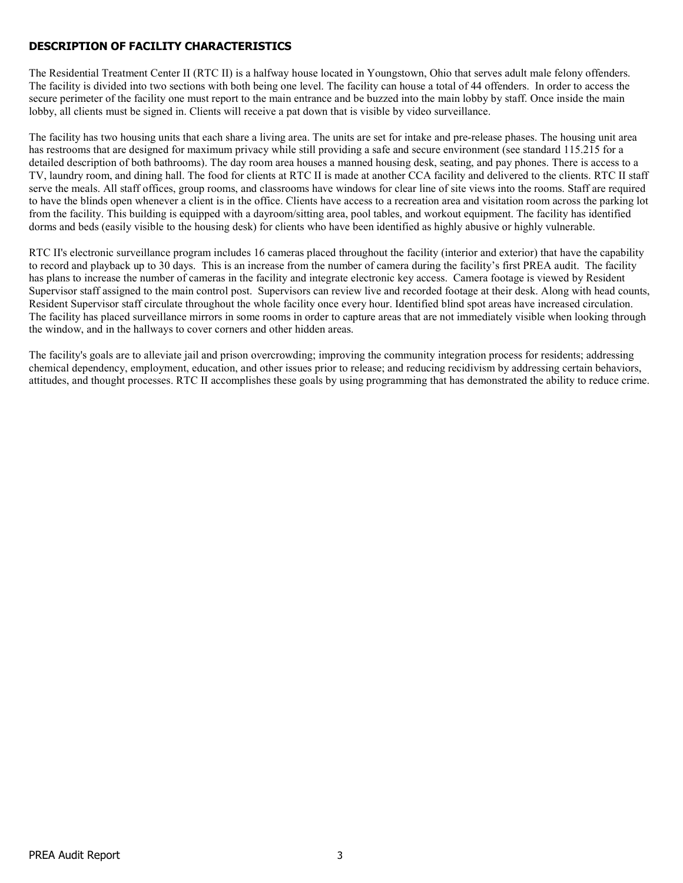# DESCRIPTION OF FACILITY CHARACTERISTICS

The Residential Treatment Center II (RTC II) is a halfway house located in Youngstown, Ohio that serves adult male felony offenders. The facility is divided into two sections with both being one level. The facility can house a total of 44 offenders. In order to access the secure perimeter of the facility one must report to the main entrance and be buzzed into the main lobby by staff. Once inside the main lobby, all clients must be signed in. Clients will receive a pat down that is visible by video surveillance.

The facility has two housing units that each share a living area. The units are set for intake and pre-release phases. The housing unit area has restrooms that are designed for maximum privacy while still providing a safe and secure environment (see standard 115.215 for a detailed description of both bathrooms). The day room area houses a manned housing desk, seating, and pay phones. There is access to a TV, laundry room, and dining hall. The food for clients at RTC II is made at another CCA facility and delivered to the clients. RTC II staff serve the meals. All staff offices, group rooms, and classrooms have windows for clear line of site views into the rooms. Staff are required to have the blinds open whenever a client is in the office. Clients have access to a recreation area and visitation room across the parking lot from the facility. This building is equipped with a dayroom/sitting area, pool tables, and workout equipment. The facility has identified dorms and beds (easily visible to the housing desk) for clients who have been identified as highly abusive or highly vulnerable.

RTC II's electronic surveillance program includes 16 cameras placed throughout the facility (interior and exterior) that have the capability to record and playback up to 30 days. This is an increase from the number of camera during the facility's first PREA audit. The facility has plans to increase the number of cameras in the facility and integrate electronic key access. Camera footage is viewed by Resident Supervisor staff assigned to the main control post. Supervisors can review live and recorded footage at their desk. Along with head counts, Resident Supervisor staff circulate throughout the whole facility once every hour. Identified blind spot areas have increased circulation. The facility has placed surveillance mirrors in some rooms in order to capture areas that are not immediately visible when looking through the window, and in the hallways to cover corners and other hidden areas.

The facility's goals are to alleviate jail and prison overcrowding; improving the community integration process for residents; addressing chemical dependency, employment, education, and other issues prior to release; and reducing recidivism by addressing certain behaviors, attitudes, and thought processes. RTC II accomplishes these goals by using programming that has demonstrated the ability to reduce crime.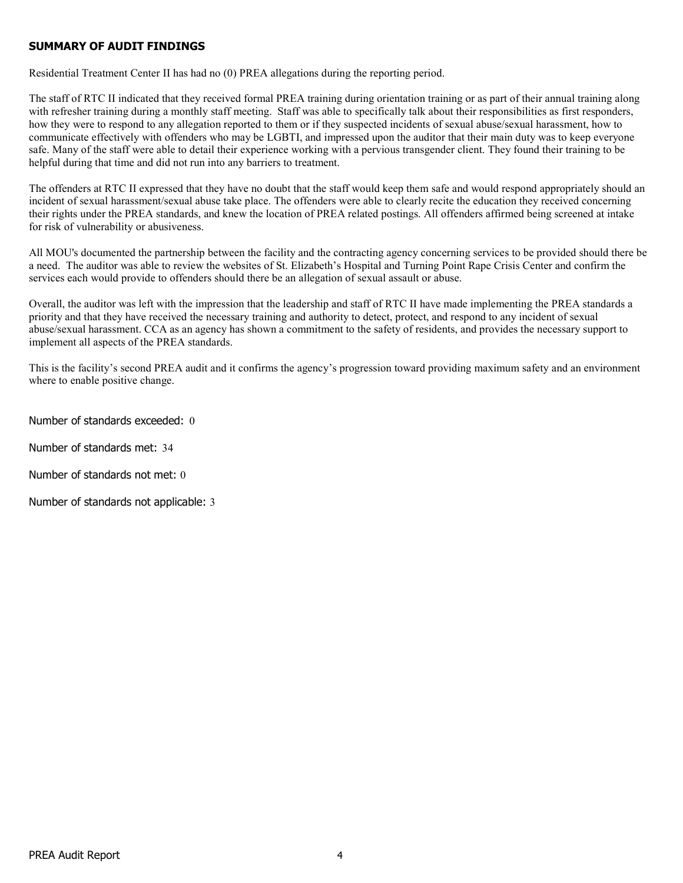# SUMMARY OF AUDIT FINDINGS

Residential Treatment Center II has had no (0) PREA allegations during the reporting period.

The staff of RTC II indicated that they received formal PREA training during orientation training or as part of their annual training along with refresher training during a monthly staff meeting. Staff was able to specifically talk about their responsibilities as first responders, how they were to respond to any allegation reported to them or if they suspected incidents of sexual abuse/sexual harassment, how to communicate effectively with offenders who may be LGBTI, and impressed upon the auditor that their main duty was to keep everyone safe. Many of the staff were able to detail their experience working with a pervious transgender client. They found their training to be helpful during that time and did not run into any barriers to treatment.

The offenders at RTC II expressed that they have no doubt that the staff would keep them safe and would respond appropriately should an incident of sexual harassment/sexual abuse take place. The offenders were able to clearly recite the education they received concerning their rights under the PREA standards, and knew the location of PREA related postings. All offenders affirmed being screened at intake for risk of vulnerability or abusiveness.

All MOU's documented the partnership between the facility and the contracting agency concerning services to be provided should there be a need. The auditor was able to review the websites of St. Elizabeth's Hospital and Turning Point Rape Crisis Center and confirm the services each would provide to offenders should there be an allegation of sexual assault or abuse.

Overall, the auditor was left with the impression that the leadership and staff of RTC II have made implementing the PREA standards a priority and that they have received the necessary training and authority to detect, protect, and respond to any incident of sexual abuse/sexual harassment. CCA as an agency has shown a commitment to the safety of residents, and provides the necessary support to implement all aspects of the PREA standards.

This is the facility's second PREA audit and it confirms the agency's progression toward providing maximum safety and an environment where to enable positive change.

Number of standards exceeded: 0

Number of standards met: 34

Number of standards not met: 0

Number of standards not applicable: 3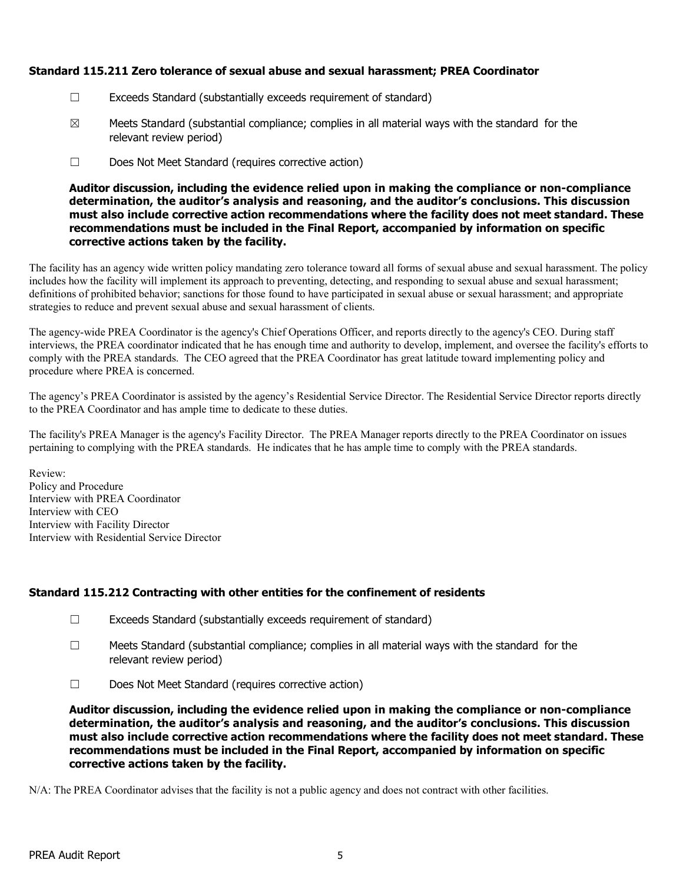# Standard 115.211 Zero tolerance of sexual abuse and sexual harassment; PREA Coordinator

- ☐ Exceeds Standard (substantially exceeds requirement of standard)
- $\boxtimes$  Meets Standard (substantial compliance; complies in all material ways with the standard for the relevant review period)
- ☐ Does Not Meet Standard (requires corrective action)

Auditor discussion, including the evidence relied upon in making the compliance or non-compliance determination, the auditor's analysis and reasoning, and the auditor's conclusions. This discussion must also include corrective action recommendations where the facility does not meet standard. These recommendations must be included in the Final Report, accompanied by information on specific corrective actions taken by the facility.

The facility has an agency wide written policy mandating zero tolerance toward all forms of sexual abuse and sexual harassment. The policy includes how the facility will implement its approach to preventing, detecting, and responding to sexual abuse and sexual harassment; definitions of prohibited behavior; sanctions for those found to have participated in sexual abuse or sexual harassment; and appropriate strategies to reduce and prevent sexual abuse and sexual harassment of clients.

The agency-wide PREA Coordinator is the agency's Chief Operations Officer, and reports directly to the agency's CEO. During staff interviews, the PREA coordinator indicated that he has enough time and authority to develop, implement, and oversee the facility's efforts to comply with the PREA standards. The CEO agreed that the PREA Coordinator has great latitude toward implementing policy and procedure where PREA is concerned.

The agency's PREA Coordinator is assisted by the agency's Residential Service Director. The Residential Service Director reports directly to the PREA Coordinator and has ample time to dedicate to these duties.

The facility's PREA Manager is the agency's Facility Director. The PREA Manager reports directly to the PREA Coordinator on issues pertaining to complying with the PREA standards. He indicates that he has ample time to comply with the PREA standards.

Review: Policy and Procedure Interview with PREA Coordinator Interview with CEO Interview with Facility Director Interview with Residential Service Director

# Standard 115.212 Contracting with other entities for the confinement of residents

- ☐ Exceeds Standard (substantially exceeds requirement of standard)
- $\Box$  Meets Standard (substantial compliance; complies in all material ways with the standard for the relevant review period)
- ☐ Does Not Meet Standard (requires corrective action)

Auditor discussion, including the evidence relied upon in making the compliance or non-compliance determination, the auditor's analysis and reasoning, and the auditor's conclusions. This discussion must also include corrective action recommendations where the facility does not meet standard. These recommendations must be included in the Final Report, accompanied by information on specific corrective actions taken by the facility.

N/A: The PREA Coordinator advises that the facility is not a public agency and does not contract with other facilities.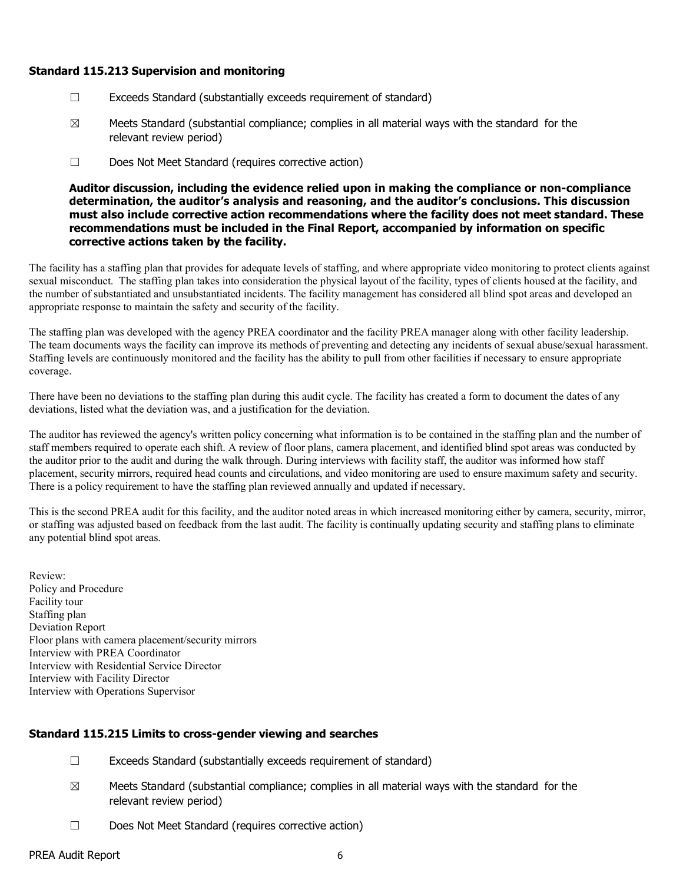### Standard 115.213 Supervision and monitoring

- ☐ Exceeds Standard (substantially exceeds requirement of standard)
- $\boxtimes$  Meets Standard (substantial compliance; complies in all material ways with the standard for the relevant review period)
- ☐ Does Not Meet Standard (requires corrective action)

Auditor discussion, including the evidence relied upon in making the compliance or non-compliance determination, the auditor's analysis and reasoning, and the auditor's conclusions. This discussion must also include corrective action recommendations where the facility does not meet standard. These recommendations must be included in the Final Report, accompanied by information on specific corrective actions taken by the facility.

The facility has a staffing plan that provides for adequate levels of staffing, and where appropriate video monitoring to protect clients against sexual misconduct. The staffing plan takes into consideration the physical layout of the facility, types of clients housed at the facility, and the number of substantiated and unsubstantiated incidents. The facility management has considered all blind spot areas and developed an appropriate response to maintain the safety and security of the facility.

The staffing plan was developed with the agency PREA coordinator and the facility PREA manager along with other facility leadership. The team documents ways the facility can improve its methods of preventing and detecting any incidents of sexual abuse/sexual harassment. Staffing levels are continuously monitored and the facility has the ability to pull from other facilities if necessary to ensure appropriate coverage.

There have been no deviations to the staffing plan during this audit cycle. The facility has created a form to document the dates of any deviations, listed what the deviation was, and a justification for the deviation.

The auditor has reviewed the agency's written policy concerning what information is to be contained in the staffing plan and the number of staff members required to operate each shift. A review of floor plans, camera placement, and identified blind spot areas was conducted by the auditor prior to the audit and during the walk through. During interviews with facility staff, the auditor was informed how staff placement, security mirrors, required head counts and circulations, and video monitoring are used to ensure maximum safety and security. There is a policy requirement to have the staffing plan reviewed annually and updated if necessary.

This is the second PREA audit for this facility, and the auditor noted areas in which increased monitoring either by camera, security, mirror, or staffing was adjusted based on feedback from the last audit. The facility is continually updating security and staffing plans to eliminate any potential blind spot areas.

Review: Policy and Procedure Facility tour Staffing plan Deviation Report Floor plans with camera placement/security mirrors Interview with PREA Coordinator Interview with Residential Service Director Interview with Facility Director Interview with Operations Supervisor

# Standard 115.215 Limits to cross-gender viewing and searches

- ☐ Exceeds Standard (substantially exceeds requirement of standard)
- $\boxtimes$  Meets Standard (substantial compliance; complies in all material ways with the standard for the relevant review period)
- ☐ Does Not Meet Standard (requires corrective action)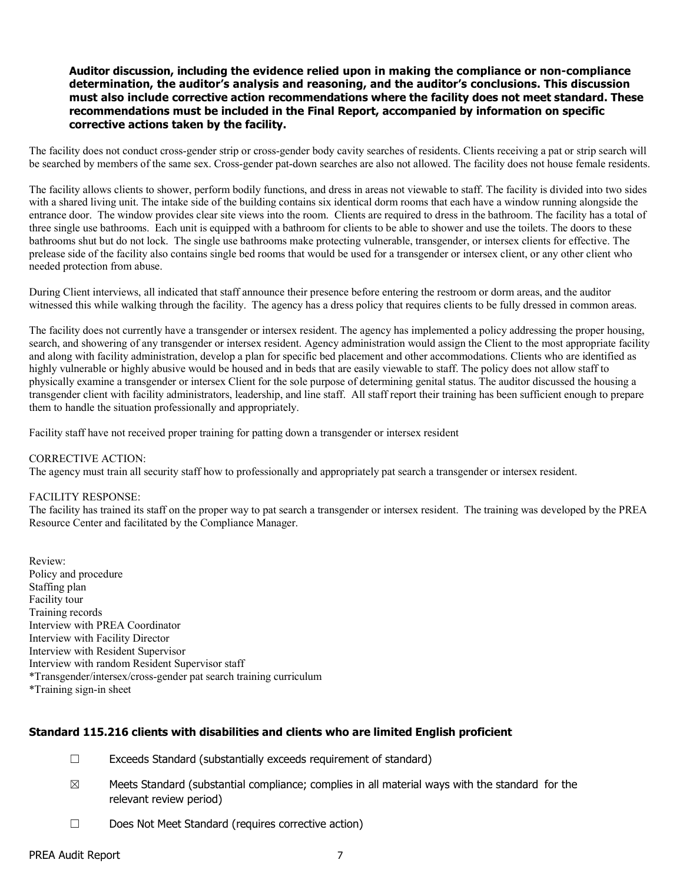### Auditor discussion, including the evidence relied upon in making the compliance or non-compliance determination, the auditor's analysis and reasoning, and the auditor's conclusions. This discussion must also include corrective action recommendations where the facility does not meet standard. These recommendations must be included in the Final Report, accompanied by information on specific corrective actions taken by the facility.

The facility does not conduct cross-gender strip or cross-gender body cavity searches of residents. Clients receiving a pat or strip search will be searched by members of the same sex. Cross-gender pat-down searches are also not allowed. The facility does not house female residents.

The facility allows clients to shower, perform bodily functions, and dress in areas not viewable to staff. The facility is divided into two sides with a shared living unit. The intake side of the building contains six identical dorm rooms that each have a window running alongside the entrance door. The window provides clear site views into the room. Clients are required to dress in the bathroom. The facility has a total of three single use bathrooms. Each unit is equipped with a bathroom for clients to be able to shower and use the toilets. The doors to these bathrooms shut but do not lock. The single use bathrooms make protecting vulnerable, transgender, or intersex clients for effective. The prelease side of the facility also contains single bed rooms that would be used for a transgender or intersex client, or any other client who needed protection from abuse.

During Client interviews, all indicated that staff announce their presence before entering the restroom or dorm areas, and the auditor witnessed this while walking through the facility. The agency has a dress policy that requires clients to be fully dressed in common areas.

The facility does not currently have a transgender or intersex resident. The agency has implemented a policy addressing the proper housing, search, and showering of any transgender or intersex resident. Agency administration would assign the Client to the most appropriate facility and along with facility administration, develop a plan for specific bed placement and other accommodations. Clients who are identified as highly vulnerable or highly abusive would be housed and in beds that are easily viewable to staff. The policy does not allow staff to physically examine a transgender or intersex Client for the sole purpose of determining genital status. The auditor discussed the housing a transgender client with facility administrators, leadership, and line staff. All staff report their training has been sufficient enough to prepare them to handle the situation professionally and appropriately.

Facility staff have not received proper training for patting down a transgender or intersex resident

#### CORRECTIVE ACTION:

The agency must train all security staff how to professionally and appropriately pat search a transgender or intersex resident.

### FACILITY RESPONSE:

The facility has trained its staff on the proper way to pat search a transgender or intersex resident. The training was developed by the PREA Resource Center and facilitated by the Compliance Manager.

Review: Policy and procedure Staffing plan Facility tour Training records Interview with PREA Coordinator Interview with Facility Director Interview with Resident Supervisor Interview with random Resident Supervisor staff \*Transgender/intersex/cross-gender pat search training curriculum \*Training sign-in sheet

### Standard 115.216 clients with disabilities and clients who are limited English proficient

- ☐ Exceeds Standard (substantially exceeds requirement of standard)
- $\boxtimes$  Meets Standard (substantial compliance; complies in all material ways with the standard for the relevant review period)
- ☐ Does Not Meet Standard (requires corrective action)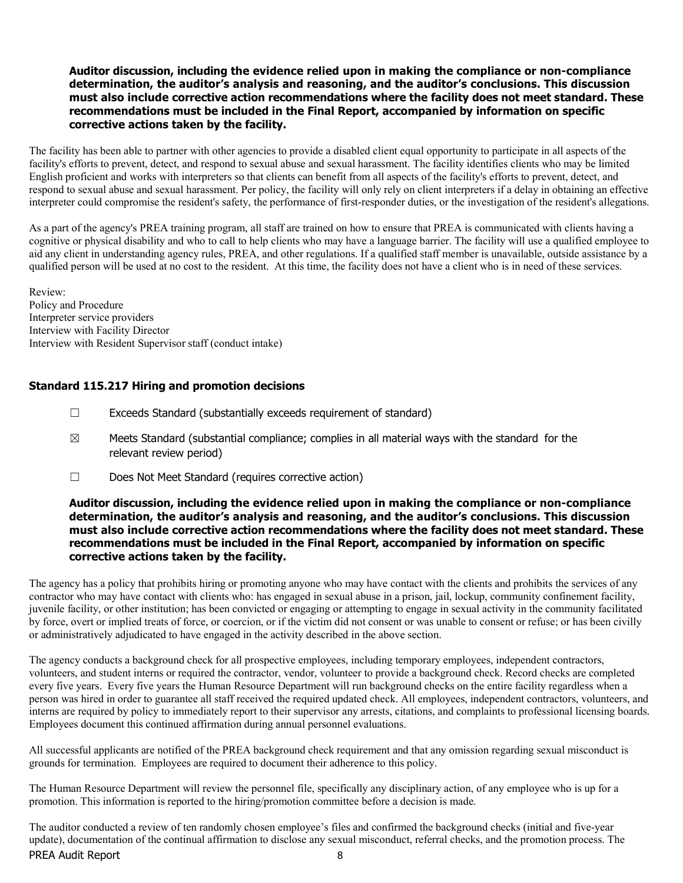### Auditor discussion, including the evidence relied upon in making the compliance or non-compliance determination, the auditor's analysis and reasoning, and the auditor's conclusions. This discussion must also include corrective action recommendations where the facility does not meet standard. These recommendations must be included in the Final Report, accompanied by information on specific corrective actions taken by the facility.

The facility has been able to partner with other agencies to provide a disabled client equal opportunity to participate in all aspects of the facility's efforts to prevent, detect, and respond to sexual abuse and sexual harassment. The facility identifies clients who may be limited English proficient and works with interpreters so that clients can benefit from all aspects of the facility's efforts to prevent, detect, and respond to sexual abuse and sexual harassment. Per policy, the facility will only rely on client interpreters if a delay in obtaining an effective interpreter could compromise the resident's safety, the performance of first-responder duties, or the investigation of the resident's allegations.

As a part of the agency's PREA training program, all staff are trained on how to ensure that PREA is communicated with clients having a cognitive or physical disability and who to call to help clients who may have a language barrier. The facility will use a qualified employee to aid any client in understanding agency rules, PREA, and other regulations. If a qualified staff member is unavailable, outside assistance by a qualified person will be used at no cost to the resident. At this time, the facility does not have a client who is in need of these services.

Review: Policy and Procedure Interpreter service providers Interview with Facility Director Interview with Resident Supervisor staff (conduct intake)

# Standard 115.217 Hiring and promotion decisions

- $\Box$  Exceeds Standard (substantially exceeds requirement of standard)
- $\boxtimes$  Meets Standard (substantial compliance; complies in all material ways with the standard for the relevant review period)
- ☐ Does Not Meet Standard (requires corrective action)

### Auditor discussion, including the evidence relied upon in making the compliance or non-compliance determination, the auditor's analysis and reasoning, and the auditor's conclusions. This discussion must also include corrective action recommendations where the facility does not meet standard. These recommendations must be included in the Final Report, accompanied by information on specific corrective actions taken by the facility.

The agency has a policy that prohibits hiring or promoting anyone who may have contact with the clients and prohibits the services of any contractor who may have contact with clients who: has engaged in sexual abuse in a prison, jail, lockup, community confinement facility, juvenile facility, or other institution; has been convicted or engaging or attempting to engage in sexual activity in the community facilitated by force, overt or implied treats of force, or coercion, or if the victim did not consent or was unable to consent or refuse; or has been civilly or administratively adjudicated to have engaged in the activity described in the above section.

The agency conducts a background check for all prospective employees, including temporary employees, independent contractors, volunteers, and student interns or required the contractor, vendor, volunteer to provide a background check. Record checks are completed every five years. Every five years the Human Resource Department will run background checks on the entire facility regardless when a person was hired in order to guarantee all staff received the required updated check. All employees, independent contractors, volunteers, and interns are required by policy to immediately report to their supervisor any arrests, citations, and complaints to professional licensing boards. Employees document this continued affirmation during annual personnel evaluations.

All successful applicants are notified of the PREA background check requirement and that any omission regarding sexual misconduct is grounds for termination. Employees are required to document their adherence to this policy.

The Human Resource Department will review the personnel file, specifically any disciplinary action, of any employee who is up for a promotion. This information is reported to the hiring/promotion committee before a decision is made.

PREA Audit Report 8 The auditor conducted a review of ten randomly chosen employee's files and confirmed the background checks (initial and five-year update), documentation of the continual affirmation to disclose any sexual misconduct, referral checks, and the promotion process. The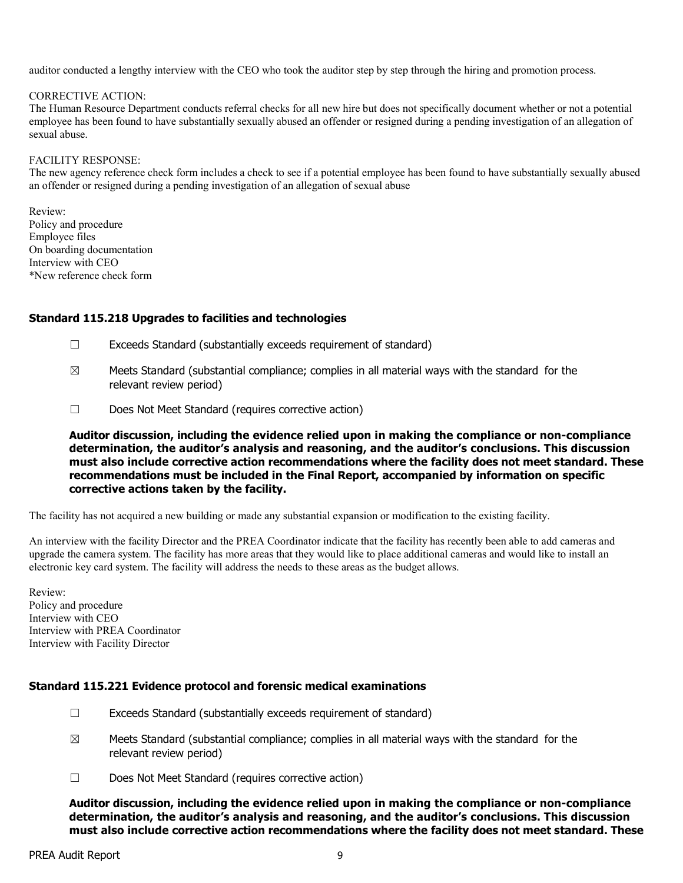auditor conducted a lengthy interview with the CEO who took the auditor step by step through the hiring and promotion process.

#### CORRECTIVE ACTION:

The Human Resource Department conducts referral checks for all new hire but does not specifically document whether or not a potential employee has been found to have substantially sexually abused an offender or resigned during a pending investigation of an allegation of sexual abuse.

#### FACILITY RESPONSE:

The new agency reference check form includes a check to see if a potential employee has been found to have substantially sexually abused an offender or resigned during a pending investigation of an allegation of sexual abuse

Review: Policy and procedure Employee files On boarding documentation Interview with CEO \*New reference check form

### Standard 115.218 Upgrades to facilities and technologies

- ☐ Exceeds Standard (substantially exceeds requirement of standard)
- $\boxtimes$  Meets Standard (substantial compliance; complies in all material ways with the standard for the relevant review period)
- ☐ Does Not Meet Standard (requires corrective action)

Auditor discussion, including the evidence relied upon in making the compliance or non-compliance determination, the auditor's analysis and reasoning, and the auditor's conclusions. This discussion must also include corrective action recommendations where the facility does not meet standard. These recommendations must be included in the Final Report, accompanied by information on specific corrective actions taken by the facility.

The facility has not acquired a new building or made any substantial expansion or modification to the existing facility.

An interview with the facility Director and the PREA Coordinator indicate that the facility has recently been able to add cameras and upgrade the camera system. The facility has more areas that they would like to place additional cameras and would like to install an electronic key card system. The facility will address the needs to these areas as the budget allows.

Review: Policy and procedure Interview with CEO Interview with PREA Coordinator Interview with Facility Director

# Standard 115.221 Evidence protocol and forensic medical examinations

- $\Box$  Exceeds Standard (substantially exceeds requirement of standard)
- $\boxtimes$  Meets Standard (substantial compliance; complies in all material ways with the standard for the relevant review period)
- ☐ Does Not Meet Standard (requires corrective action)

Auditor discussion, including the evidence relied upon in making the compliance or non-compliance determination, the auditor's analysis and reasoning, and the auditor's conclusions. This discussion must also include corrective action recommendations where the facility does not meet standard. These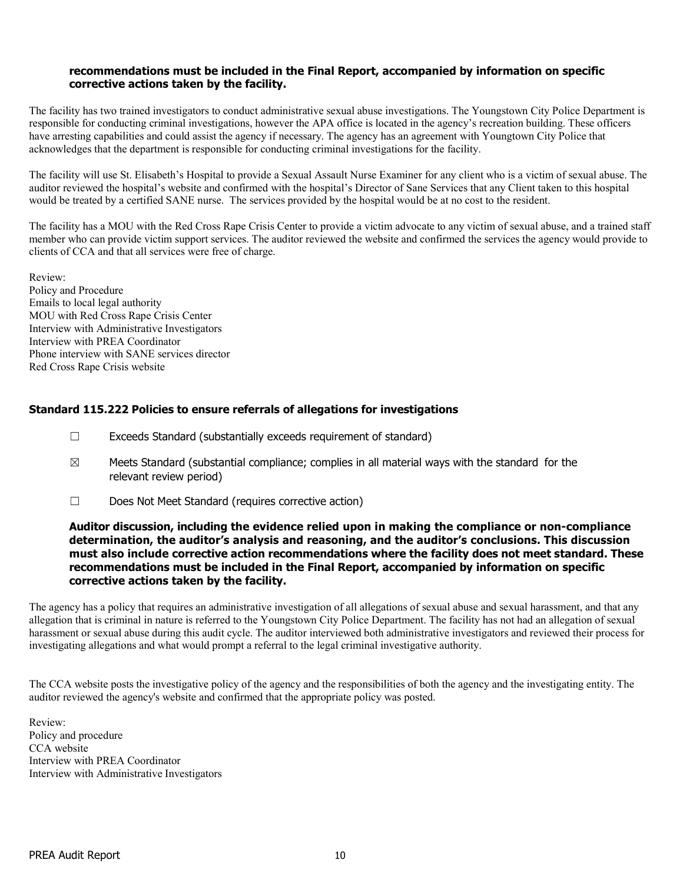### recommendations must be included in the Final Report, accompanied by information on specific corrective actions taken by the facility.

The facility has two trained investigators to conduct administrative sexual abuse investigations. The Youngstown City Police Department is responsible for conducting criminal investigations, however the APA office is located in the agency's recreation building. These officers have arresting capabilities and could assist the agency if necessary. The agency has an agreement with Youngtown City Police that acknowledges that the department is responsible for conducting criminal investigations for the facility.

The facility will use St. Elisabeth's Hospital to provide a Sexual Assault Nurse Examiner for any client who is a victim of sexual abuse. The auditor reviewed the hospital's website and confirmed with the hospital's Director of Sane Services that any Client taken to this hospital would be treated by a certified SANE nurse. The services provided by the hospital would be at no cost to the resident.

The facility has a MOU with the Red Cross Rape Crisis Center to provide a victim advocate to any victim of sexual abuse, and a trained staff member who can provide victim support services. The auditor reviewed the website and confirmed the services the agency would provide to clients of CCA and that all services were free of charge.

Review: Policy and Procedure Emails to local legal authority MOU with Red Cross Rape Crisis Center Interview with Administrative Investigators Interview with PREA Coordinator Phone interview with SANE services director Red Cross Rape Crisis website

# Standard 115.222 Policies to ensure referrals of allegations for investigations

- $\Box$  Exceeds Standard (substantially exceeds requirement of standard)
- $\boxtimes$  Meets Standard (substantial compliance; complies in all material ways with the standard for the relevant review period)
- ☐ Does Not Meet Standard (requires corrective action)

### Auditor discussion, including the evidence relied upon in making the compliance or non-compliance determination, the auditor's analysis and reasoning, and the auditor's conclusions. This discussion must also include corrective action recommendations where the facility does not meet standard. These recommendations must be included in the Final Report, accompanied by information on specific corrective actions taken by the facility.

The agency has a policy that requires an administrative investigation of all allegations of sexual abuse and sexual harassment, and that any allegation that is criminal in nature is referred to the Youngstown City Police Department. The facility has not had an allegation of sexual harassment or sexual abuse during this audit cycle. The auditor interviewed both administrative investigators and reviewed their process for investigating allegations and what would prompt a referral to the legal criminal investigative authority.

The CCA website posts the investigative policy of the agency and the responsibilities of both the agency and the investigating entity. The auditor reviewed the agency's website and confirmed that the appropriate policy was posted.

Review: Policy and procedure CCA website Interview with PREA Coordinator Interview with Administrative Investigators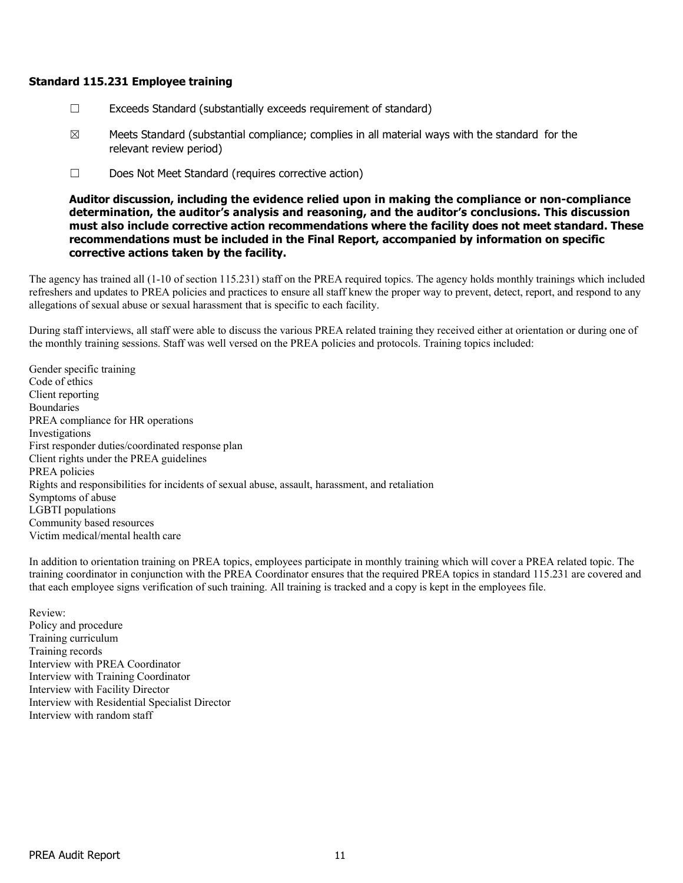### Standard 115.231 Employee training

- $\Box$  Exceeds Standard (substantially exceeds requirement of standard)
- $\boxtimes$  Meets Standard (substantial compliance; complies in all material ways with the standard for the relevant review period)
- ☐ Does Not Meet Standard (requires corrective action)

Auditor discussion, including the evidence relied upon in making the compliance or non-compliance determination, the auditor's analysis and reasoning, and the auditor's conclusions. This discussion must also include corrective action recommendations where the facility does not meet standard. These recommendations must be included in the Final Report, accompanied by information on specific corrective actions taken by the facility.

The agency has trained all (1-10 of section 115.231) staff on the PREA required topics. The agency holds monthly trainings which included refreshers and updates to PREA policies and practices to ensure all staff knew the proper way to prevent, detect, report, and respond to any allegations of sexual abuse or sexual harassment that is specific to each facility.

During staff interviews, all staff were able to discuss the various PREA related training they received either at orientation or during one of the monthly training sessions. Staff was well versed on the PREA policies and protocols. Training topics included:

Gender specific training Code of ethics Client reporting Boundaries PREA compliance for HR operations Investigations First responder duties/coordinated response plan Client rights under the PREA guidelines PREA policies Rights and responsibilities for incidents of sexual abuse, assault, harassment, and retaliation Symptoms of abuse LGBTI populations Community based resources Victim medical/mental health care

In addition to orientation training on PREA topics, employees participate in monthly training which will cover a PREA related topic. The training coordinator in conjunction with the PREA Coordinator ensures that the required PREA topics in standard 115.231 are covered and that each employee signs verification of such training. All training is tracked and a copy is kept in the employees file.

Review: Policy and procedure Training curriculum Training records Interview with PREA Coordinator Interview with Training Coordinator Interview with Facility Director Interview with Residential Specialist Director Interview with random staff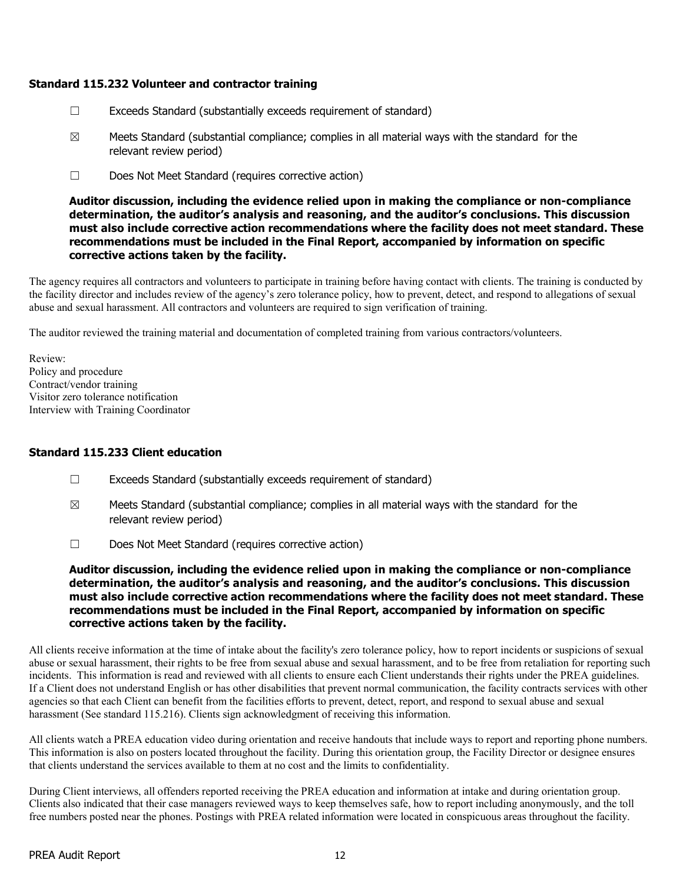# Standard 115.232 Volunteer and contractor training

- ☐ Exceeds Standard (substantially exceeds requirement of standard)
- $\boxtimes$  Meets Standard (substantial compliance; complies in all material ways with the standard for the relevant review period)
- ☐ Does Not Meet Standard (requires corrective action)

### Auditor discussion, including the evidence relied upon in making the compliance or non-compliance determination, the auditor's analysis and reasoning, and the auditor's conclusions. This discussion must also include corrective action recommendations where the facility does not meet standard. These recommendations must be included in the Final Report, accompanied by information on specific corrective actions taken by the facility.

The agency requires all contractors and volunteers to participate in training before having contact with clients. The training is conducted by the facility director and includes review of the agency's zero tolerance policy, how to prevent, detect, and respond to allegations of sexual abuse and sexual harassment. All contractors and volunteers are required to sign verification of training.

The auditor reviewed the training material and documentation of completed training from various contractors/volunteers.

Review: Policy and procedure Contract/vendor training Visitor zero tolerance notification Interview with Training Coordinator

# Standard 115.233 Client education

- ☐ Exceeds Standard (substantially exceeds requirement of standard)
- $\boxtimes$  Meets Standard (substantial compliance; complies in all material ways with the standard for the relevant review period)
- ☐ Does Not Meet Standard (requires corrective action)

Auditor discussion, including the evidence relied upon in making the compliance or non-compliance determination, the auditor's analysis and reasoning, and the auditor's conclusions. This discussion must also include corrective action recommendations where the facility does not meet standard. These recommendations must be included in the Final Report, accompanied by information on specific corrective actions taken by the facility.

All clients receive information at the time of intake about the facility's zero tolerance policy, how to report incidents or suspicions of sexual abuse or sexual harassment, their rights to be free from sexual abuse and sexual harassment, and to be free from retaliation for reporting such incidents. This information is read and reviewed with all clients to ensure each Client understands their rights under the PREA guidelines. If a Client does not understand English or has other disabilities that prevent normal communication, the facility contracts services with other agencies so that each Client can benefit from the facilities efforts to prevent, detect, report, and respond to sexual abuse and sexual harassment (See standard 115.216). Clients sign acknowledgment of receiving this information.

All clients watch a PREA education video during orientation and receive handouts that include ways to report and reporting phone numbers. This information is also on posters located throughout the facility. During this orientation group, the Facility Director or designee ensures that clients understand the services available to them at no cost and the limits to confidentiality.

During Client interviews, all offenders reported receiving the PREA education and information at intake and during orientation group. Clients also indicated that their case managers reviewed ways to keep themselves safe, how to report including anonymously, and the toll free numbers posted near the phones. Postings with PREA related information were located in conspicuous areas throughout the facility.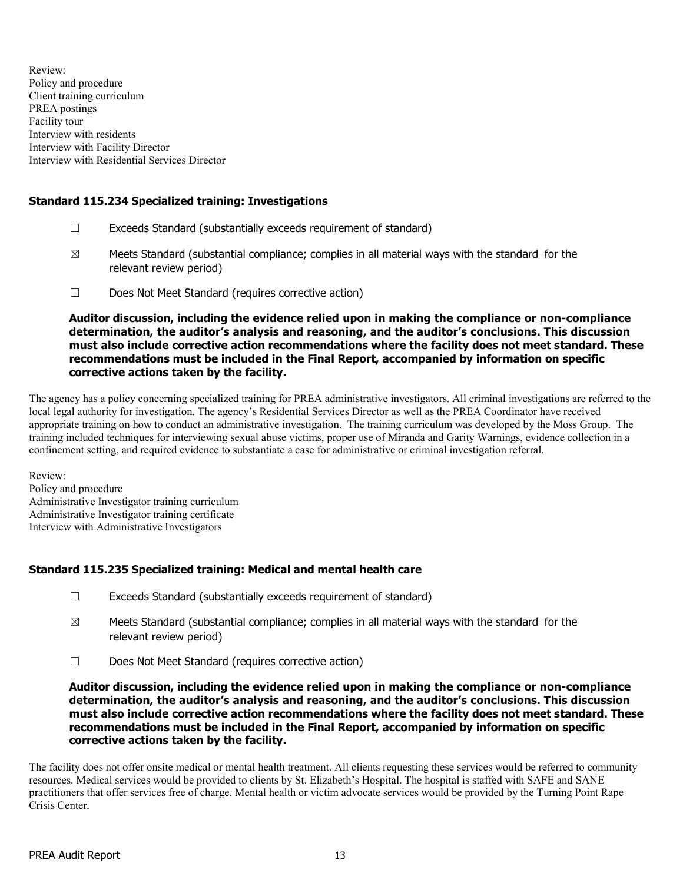Review: Policy and procedure Client training curriculum PREA postings Facility tour Interview with residents Interview with Facility Director Interview with Residential Services Director

# Standard 115.234 Specialized training: Investigations

- ☐ Exceeds Standard (substantially exceeds requirement of standard)
- $\boxtimes$  Meets Standard (substantial compliance; complies in all material ways with the standard for the relevant review period)
- ☐ Does Not Meet Standard (requires corrective action)

Auditor discussion, including the evidence relied upon in making the compliance or non-compliance determination, the auditor's analysis and reasoning, and the auditor's conclusions. This discussion must also include corrective action recommendations where the facility does not meet standard. These recommendations must be included in the Final Report, accompanied by information on specific corrective actions taken by the facility.

The agency has a policy concerning specialized training for PREA administrative investigators. All criminal investigations are referred to the local legal authority for investigation. The agency's Residential Services Director as well as the PREA Coordinator have received appropriate training on how to conduct an administrative investigation. The training curriculum was developed by the Moss Group. The training included techniques for interviewing sexual abuse victims, proper use of Miranda and Garity Warnings, evidence collection in a confinement setting, and required evidence to substantiate a case for administrative or criminal investigation referral.

Review: Policy and procedure Administrative Investigator training curriculum Administrative Investigator training certificate Interview with Administrative Investigators

# Standard 115.235 Specialized training: Medical and mental health care

- ☐ Exceeds Standard (substantially exceeds requirement of standard)
- $\boxtimes$  Meets Standard (substantial compliance; complies in all material ways with the standard for the relevant review period)
- ☐ Does Not Meet Standard (requires corrective action)

Auditor discussion, including the evidence relied upon in making the compliance or non-compliance determination, the auditor's analysis and reasoning, and the auditor's conclusions. This discussion must also include corrective action recommendations where the facility does not meet standard. These recommendations must be included in the Final Report, accompanied by information on specific corrective actions taken by the facility.

The facility does not offer onsite medical or mental health treatment. All clients requesting these services would be referred to community resources. Medical services would be provided to clients by St. Elizabeth's Hospital. The hospital is staffed with SAFE and SANE practitioners that offer services free of charge. Mental health or victim advocate services would be provided by the Turning Point Rape Crisis Center.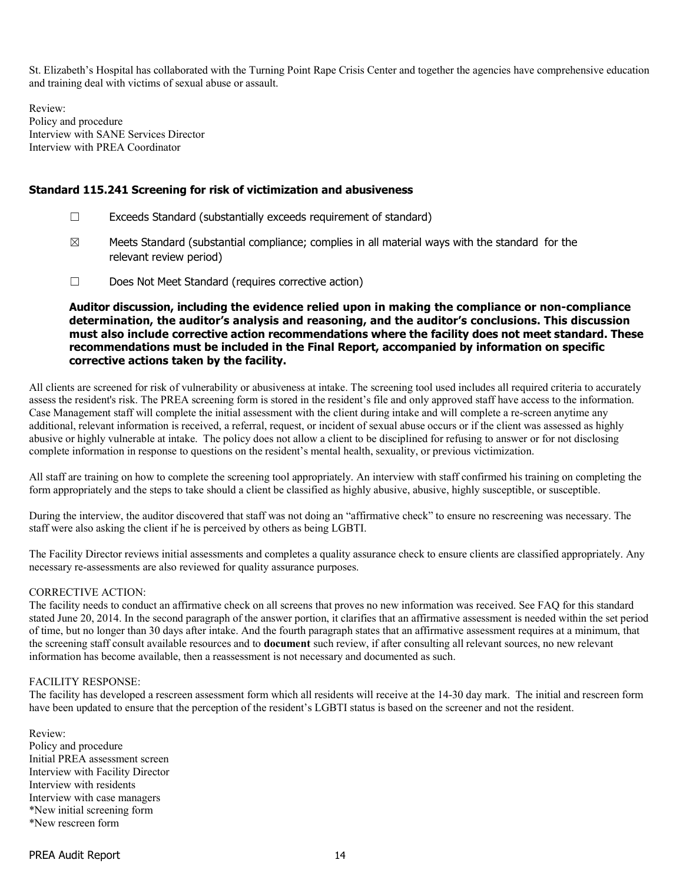St. Elizabeth's Hospital has collaborated with the Turning Point Rape Crisis Center and together the agencies have comprehensive education and training deal with victims of sexual abuse or assault.

Review: Policy and procedure Interview with SANE Services Director Interview with PREA Coordinator

### Standard 115.241 Screening for risk of victimization and abusiveness

- ☐ Exceeds Standard (substantially exceeds requirement of standard)
- $\boxtimes$  Meets Standard (substantial compliance; complies in all material ways with the standard for the relevant review period)
- ☐ Does Not Meet Standard (requires corrective action)

Auditor discussion, including the evidence relied upon in making the compliance or non-compliance determination, the auditor's analysis and reasoning, and the auditor's conclusions. This discussion must also include corrective action recommendations where the facility does not meet standard. These recommendations must be included in the Final Report, accompanied by information on specific corrective actions taken by the facility.

All clients are screened for risk of vulnerability or abusiveness at intake. The screening tool used includes all required criteria to accurately assess the resident's risk. The PREA screening form is stored in the resident's file and only approved staff have access to the information. Case Management staff will complete the initial assessment with the client during intake and will complete a re-screen anytime any additional, relevant information is received, a referral, request, or incident of sexual abuse occurs or if the client was assessed as highly abusive or highly vulnerable at intake. The policy does not allow a client to be disciplined for refusing to answer or for not disclosing complete information in response to questions on the resident's mental health, sexuality, or previous victimization.

All staff are training on how to complete the screening tool appropriately. An interview with staff confirmed his training on completing the form appropriately and the steps to take should a client be classified as highly abusive, abusive, highly susceptible, or susceptible.

During the interview, the auditor discovered that staff was not doing an "affirmative check" to ensure no rescreening was necessary. The staff were also asking the client if he is perceived by others as being LGBTI.

The Facility Director reviews initial assessments and completes a quality assurance check to ensure clients are classified appropriately. Any necessary re-assessments are also reviewed for quality assurance purposes.

#### CORRECTIVE ACTION:

The facility needs to conduct an affirmative check on all screens that proves no new information was received. See FAQ for this standard stated June 20, 2014. In the second paragraph of the answer portion, it clarifies that an affirmative assessment is needed within the set period of time, but no longer than 30 days after intake. And the fourth paragraph states that an affirmative assessment requires at a minimum, that the screening staff consult available resources and to document such review, if after consulting all relevant sources, no new relevant information has become available, then a reassessment is not necessary and documented as such.

#### FACILITY RESPONSE:

The facility has developed a rescreen assessment form which all residents will receive at the 14-30 day mark. The initial and rescreen form have been updated to ensure that the perception of the resident's LGBTI status is based on the screener and not the resident.

Review: Policy and procedure Initial PREA assessment screen Interview with Facility Director Interview with residents Interview with case managers \*New initial screening form \*New rescreen form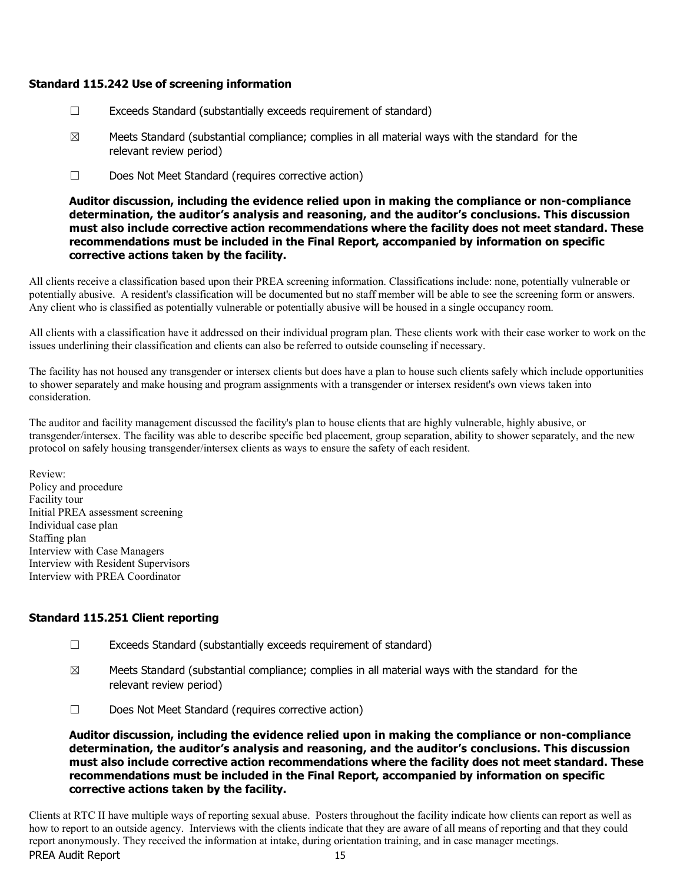### Standard 115.242 Use of screening information

- ☐ Exceeds Standard (substantially exceeds requirement of standard)
- $\boxtimes$  Meets Standard (substantial compliance; complies in all material ways with the standard for the relevant review period)
- ☐ Does Not Meet Standard (requires corrective action)

Auditor discussion, including the evidence relied upon in making the compliance or non-compliance determination, the auditor's analysis and reasoning, and the auditor's conclusions. This discussion must also include corrective action recommendations where the facility does not meet standard. These recommendations must be included in the Final Report, accompanied by information on specific corrective actions taken by the facility.

All clients receive a classification based upon their PREA screening information. Classifications include: none, potentially vulnerable or potentially abusive. A resident's classification will be documented but no staff member will be able to see the screening form or answers. Any client who is classified as potentially vulnerable or potentially abusive will be housed in a single occupancy room.

All clients with a classification have it addressed on their individual program plan. These clients work with their case worker to work on the issues underlining their classification and clients can also be referred to outside counseling if necessary.

The facility has not housed any transgender or intersex clients but does have a plan to house such clients safely which include opportunities to shower separately and make housing and program assignments with a transgender or intersex resident's own views taken into consideration.

The auditor and facility management discussed the facility's plan to house clients that are highly vulnerable, highly abusive, or transgender/intersex. The facility was able to describe specific bed placement, group separation, ability to shower separately, and the new protocol on safely housing transgender/intersex clients as ways to ensure the safety of each resident.

Review: Policy and procedure Facility tour Initial PREA assessment screening Individual case plan Staffing plan Interview with Case Managers Interview with Resident Supervisors Interview with PREA Coordinator

# Standard 115.251 Client reporting

- $\Box$  Exceeds Standard (substantially exceeds requirement of standard)
- $\boxtimes$  Meets Standard (substantial compliance; complies in all material ways with the standard for the relevant review period)
- ☐ Does Not Meet Standard (requires corrective action)

Auditor discussion, including the evidence relied upon in making the compliance or non-compliance determination, the auditor's analysis and reasoning, and the auditor's conclusions. This discussion must also include corrective action recommendations where the facility does not meet standard. These recommendations must be included in the Final Report, accompanied by information on specific corrective actions taken by the facility.

PREA Audit Report 15 Clients at RTC II have multiple ways of reporting sexual abuse. Posters throughout the facility indicate how clients can report as well as how to report to an outside agency. Interviews with the clients indicate that they are aware of all means of reporting and that they could report anonymously. They received the information at intake, during orientation training, and in case manager meetings.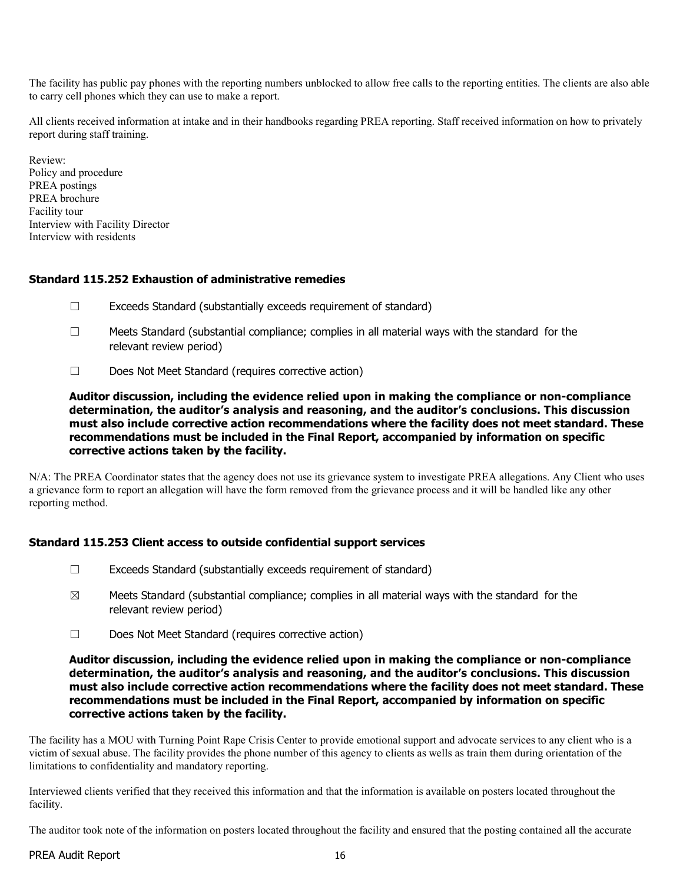The facility has public pay phones with the reporting numbers unblocked to allow free calls to the reporting entities. The clients are also able to carry cell phones which they can use to make a report.

All clients received information at intake and in their handbooks regarding PREA reporting. Staff received information on how to privately report during staff training.

Review: Policy and procedure PREA postings PREA brochure Facility tour Interview with Facility Director Interview with residents

### Standard 115.252 Exhaustion of administrative remedies

- ☐ Exceeds Standard (substantially exceeds requirement of standard)
- $\Box$  Meets Standard (substantial compliance; complies in all material ways with the standard for the relevant review period)
- ☐ Does Not Meet Standard (requires corrective action)

Auditor discussion, including the evidence relied upon in making the compliance or non-compliance determination, the auditor's analysis and reasoning, and the auditor's conclusions. This discussion must also include corrective action recommendations where the facility does not meet standard. These recommendations must be included in the Final Report, accompanied by information on specific corrective actions taken by the facility.

N/A: The PREA Coordinator states that the agency does not use its grievance system to investigate PREA allegations. Any Client who uses a grievance form to report an allegation will have the form removed from the grievance process and it will be handled like any other reporting method.

# Standard 115.253 Client access to outside confidential support services

- ☐ Exceeds Standard (substantially exceeds requirement of standard)
- $\boxtimes$  Meets Standard (substantial compliance; complies in all material ways with the standard for the relevant review period)
- ☐ Does Not Meet Standard (requires corrective action)

Auditor discussion, including the evidence relied upon in making the compliance or non-compliance determination, the auditor's analysis and reasoning, and the auditor's conclusions. This discussion must also include corrective action recommendations where the facility does not meet standard. These recommendations must be included in the Final Report, accompanied by information on specific corrective actions taken by the facility.

The facility has a MOU with Turning Point Rape Crisis Center to provide emotional support and advocate services to any client who is a victim of sexual abuse. The facility provides the phone number of this agency to clients as wells as train them during orientation of the limitations to confidentiality and mandatory reporting.

Interviewed clients verified that they received this information and that the information is available on posters located throughout the facility.

The auditor took note of the information on posters located throughout the facility and ensured that the posting contained all the accurate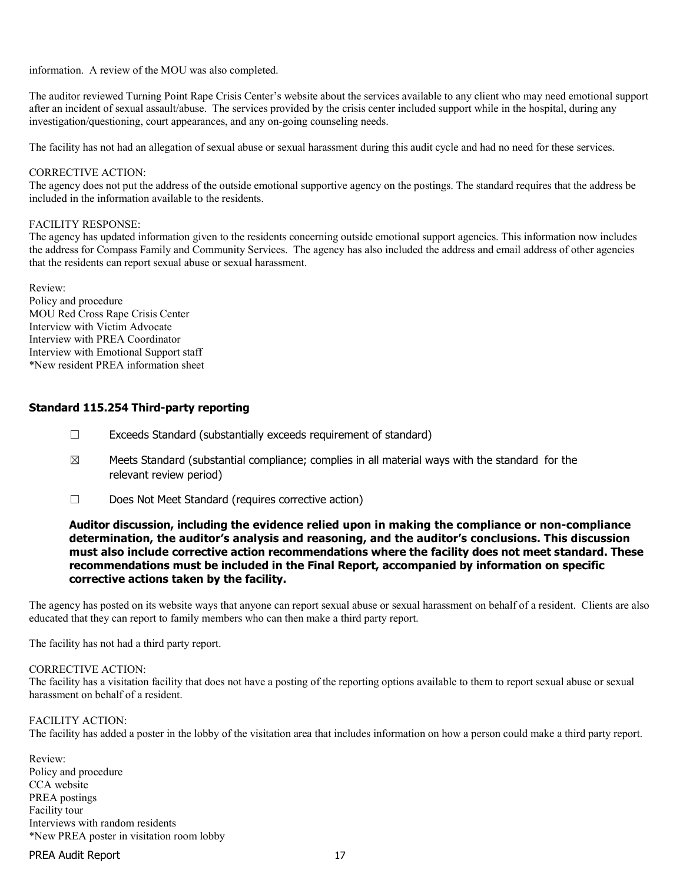information. A review of the MOU was also completed.

The auditor reviewed Turning Point Rape Crisis Center's website about the services available to any client who may need emotional support after an incident of sexual assault/abuse. The services provided by the crisis center included support while in the hospital, during any investigation/questioning, court appearances, and any on-going counseling needs.

The facility has not had an allegation of sexual abuse or sexual harassment during this audit cycle and had no need for these services.

#### CORRECTIVE ACTION:

The agency does not put the address of the outside emotional supportive agency on the postings. The standard requires that the address be included in the information available to the residents.

#### FACILITY RESPONSE:

The agency has updated information given to the residents concerning outside emotional support agencies. This information now includes the address for Compass Family and Community Services. The agency has also included the address and email address of other agencies that the residents can report sexual abuse or sexual harassment.

Review: Policy and procedure MOU Red Cross Rape Crisis Center Interview with Victim Advocate Interview with PREA Coordinator Interview with Emotional Support staff \*New resident PREA information sheet

### Standard 115.254 Third-party reporting

- ☐ Exceeds Standard (substantially exceeds requirement of standard)
- $\boxtimes$  Meets Standard (substantial compliance; complies in all material ways with the standard for the relevant review period)
- ☐ Does Not Meet Standard (requires corrective action)

### Auditor discussion, including the evidence relied upon in making the compliance or non-compliance determination, the auditor's analysis and reasoning, and the auditor's conclusions. This discussion must also include corrective action recommendations where the facility does not meet standard. These recommendations must be included in the Final Report, accompanied by information on specific corrective actions taken by the facility.

The agency has posted on its website ways that anyone can report sexual abuse or sexual harassment on behalf of a resident. Clients are also educated that they can report to family members who can then make a third party report.

The facility has not had a third party report.

#### CORRECTIVE ACTION:

The facility has a visitation facility that does not have a posting of the reporting options available to them to report sexual abuse or sexual harassment on behalf of a resident.

### FACILITY ACTION:

The facility has added a poster in the lobby of the visitation area that includes information on how a person could make a third party report.

Review: Policy and procedure CCA website PREA postings Facility tour Interviews with random residents \*New PREA poster in visitation room lobby

### PREA Audit Report 17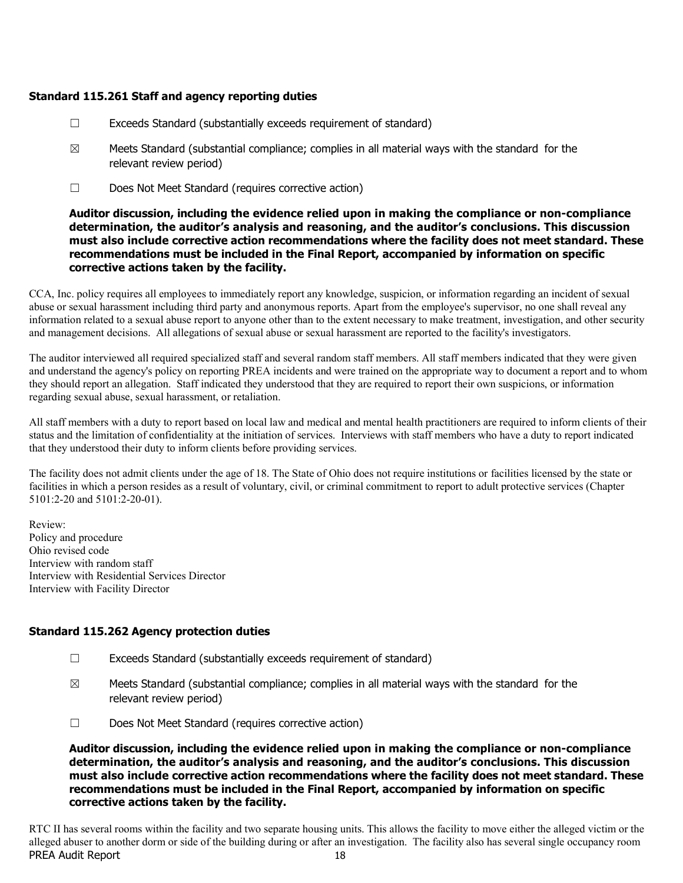# Standard 115.261 Staff and agency reporting duties

- ☐ Exceeds Standard (substantially exceeds requirement of standard)
- $\boxtimes$  Meets Standard (substantial compliance; complies in all material ways with the standard for the relevant review period)
- ☐ Does Not Meet Standard (requires corrective action)

Auditor discussion, including the evidence relied upon in making the compliance or non-compliance determination, the auditor's analysis and reasoning, and the auditor's conclusions. This discussion must also include corrective action recommendations where the facility does not meet standard. These recommendations must be included in the Final Report, accompanied by information on specific corrective actions taken by the facility.

CCA, Inc. policy requires all employees to immediately report any knowledge, suspicion, or information regarding an incident of sexual abuse or sexual harassment including third party and anonymous reports. Apart from the employee's supervisor, no one shall reveal any information related to a sexual abuse report to anyone other than to the extent necessary to make treatment, investigation, and other security and management decisions. All allegations of sexual abuse or sexual harassment are reported to the facility's investigators.

The auditor interviewed all required specialized staff and several random staff members. All staff members indicated that they were given and understand the agency's policy on reporting PREA incidents and were trained on the appropriate way to document a report and to whom they should report an allegation. Staff indicated they understood that they are required to report their own suspicions, or information regarding sexual abuse, sexual harassment, or retaliation.

All staff members with a duty to report based on local law and medical and mental health practitioners are required to inform clients of their status and the limitation of confidentiality at the initiation of services. Interviews with staff members who have a duty to report indicated that they understood their duty to inform clients before providing services.

The facility does not admit clients under the age of 18. The State of Ohio does not require institutions or facilities licensed by the state or facilities in which a person resides as a result of voluntary, civil, or criminal commitment to report to adult protective services (Chapter 5101:2-20 and 5101:2-20-01).

Review: Policy and procedure Ohio revised code Interview with random staff Interview with Residential Services Director Interview with Facility Director

### Standard 115.262 Agency protection duties

- ☐ Exceeds Standard (substantially exceeds requirement of standard)
- $\boxtimes$  Meets Standard (substantial compliance; complies in all material ways with the standard for the relevant review period)
- ☐ Does Not Meet Standard (requires corrective action)

Auditor discussion, including the evidence relied upon in making the compliance or non-compliance determination, the auditor's analysis and reasoning, and the auditor's conclusions. This discussion must also include corrective action recommendations where the facility does not meet standard. These recommendations must be included in the Final Report, accompanied by information on specific corrective actions taken by the facility.

PREA Audit Report 18 RTC II has several rooms within the facility and two separate housing units. This allows the facility to move either the alleged victim or the alleged abuser to another dorm or side of the building during or after an investigation. The facility also has several single occupancy room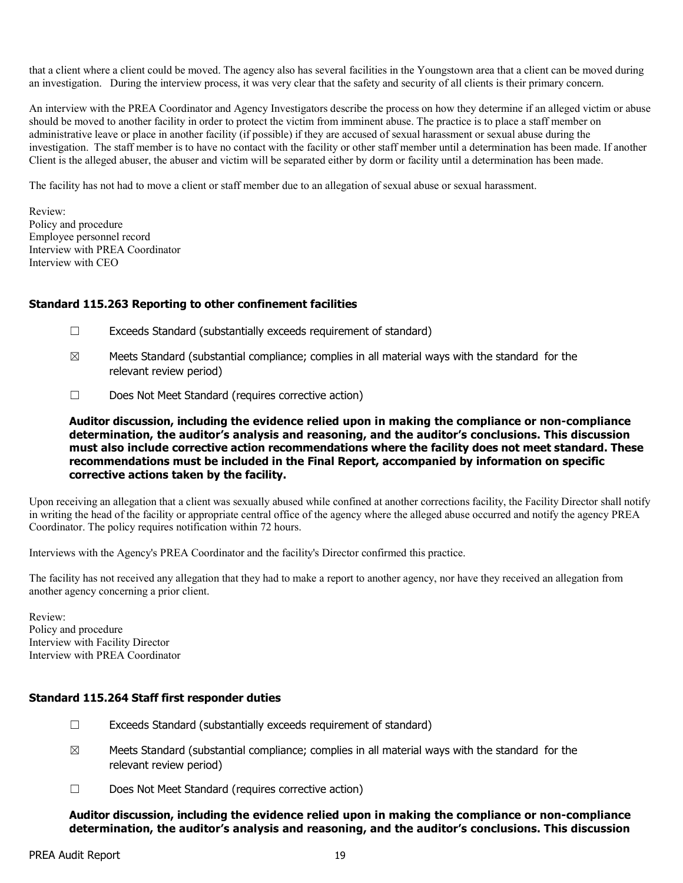that a client where a client could be moved. The agency also has several facilities in the Youngstown area that a client can be moved during an investigation. During the interview process, it was very clear that the safety and security of all clients is their primary concern.

An interview with the PREA Coordinator and Agency Investigators describe the process on how they determine if an alleged victim or abuse should be moved to another facility in order to protect the victim from imminent abuse. The practice is to place a staff member on administrative leave or place in another facility (if possible) if they are accused of sexual harassment or sexual abuse during the investigation. The staff member is to have no contact with the facility or other staff member until a determination has been made. If another Client is the alleged abuser, the abuser and victim will be separated either by dorm or facility until a determination has been made.

The facility has not had to move a client or staff member due to an allegation of sexual abuse or sexual harassment.

Review: Policy and procedure Employee personnel record Interview with PREA Coordinator Interview with CEO

### Standard 115.263 Reporting to other confinement facilities

- ☐ Exceeds Standard (substantially exceeds requirement of standard)
- $\boxtimes$  Meets Standard (substantial compliance; complies in all material ways with the standard for the relevant review period)
- ☐ Does Not Meet Standard (requires corrective action)

Auditor discussion, including the evidence relied upon in making the compliance or non-compliance determination, the auditor's analysis and reasoning, and the auditor's conclusions. This discussion must also include corrective action recommendations where the facility does not meet standard. These recommendations must be included in the Final Report, accompanied by information on specific corrective actions taken by the facility.

Upon receiving an allegation that a client was sexually abused while confined at another corrections facility, the Facility Director shall notify in writing the head of the facility or appropriate central office of the agency where the alleged abuse occurred and notify the agency PREA Coordinator. The policy requires notification within 72 hours.

Interviews with the Agency's PREA Coordinator and the facility's Director confirmed this practice.

The facility has not received any allegation that they had to make a report to another agency, nor have they received an allegation from another agency concerning a prior client.

Review: Policy and procedure Interview with Facility Director Interview with PREA Coordinator

### Standard 115.264 Staff first responder duties

- $\Box$  Exceeds Standard (substantially exceeds requirement of standard)
- $\boxtimes$  Meets Standard (substantial compliance; complies in all material ways with the standard for the relevant review period)
- ☐ Does Not Meet Standard (requires corrective action)

Auditor discussion, including the evidence relied upon in making the compliance or non-compliance determination, the auditor's analysis and reasoning, and the auditor's conclusions. This discussion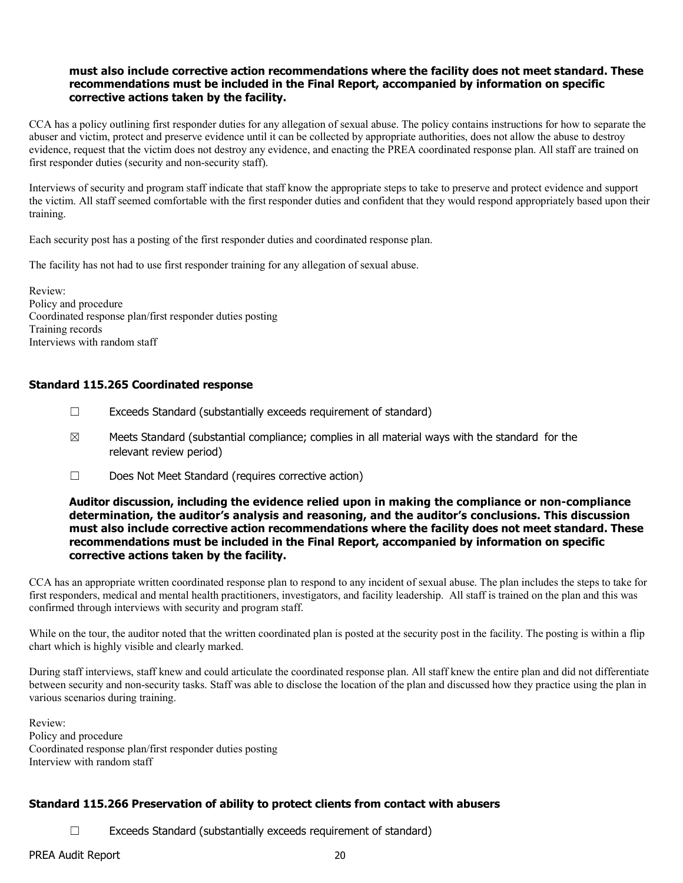# must also include corrective action recommendations where the facility does not meet standard. These recommendations must be included in the Final Report, accompanied by information on specific corrective actions taken by the facility.

CCA has a policy outlining first responder duties for any allegation of sexual abuse. The policy contains instructions for how to separate the abuser and victim, protect and preserve evidence until it can be collected by appropriate authorities, does not allow the abuse to destroy evidence, request that the victim does not destroy any evidence, and enacting the PREA coordinated response plan. All staff are trained on first responder duties (security and non-security staff).

Interviews of security and program staff indicate that staff know the appropriate steps to take to preserve and protect evidence and support the victim. All staff seemed comfortable with the first responder duties and confident that they would respond appropriately based upon their training.

Each security post has a posting of the first responder duties and coordinated response plan.

The facility has not had to use first responder training for any allegation of sexual abuse.

Review: Policy and procedure Coordinated response plan/first responder duties posting Training records Interviews with random staff

# Standard 115.265 Coordinated response

- ☐ Exceeds Standard (substantially exceeds requirement of standard)
- $\boxtimes$  Meets Standard (substantial compliance; complies in all material ways with the standard for the relevant review period)
- ☐ Does Not Meet Standard (requires corrective action)

### Auditor discussion, including the evidence relied upon in making the compliance or non-compliance determination, the auditor's analysis and reasoning, and the auditor's conclusions. This discussion must also include corrective action recommendations where the facility does not meet standard. These recommendations must be included in the Final Report, accompanied by information on specific corrective actions taken by the facility.

CCA has an appropriate written coordinated response plan to respond to any incident of sexual abuse. The plan includes the steps to take for first responders, medical and mental health practitioners, investigators, and facility leadership. All staff is trained on the plan and this was confirmed through interviews with security and program staff.

While on the tour, the auditor noted that the written coordinated plan is posted at the security post in the facility. The posting is within a flip chart which is highly visible and clearly marked.

During staff interviews, staff knew and could articulate the coordinated response plan. All staff knew the entire plan and did not differentiate between security and non-security tasks. Staff was able to disclose the location of the plan and discussed how they practice using the plan in various scenarios during training.

Review: Policy and procedure Coordinated response plan/first responder duties posting Interview with random staff

# Standard 115.266 Preservation of ability to protect clients from contact with abusers

☐ Exceeds Standard (substantially exceeds requirement of standard)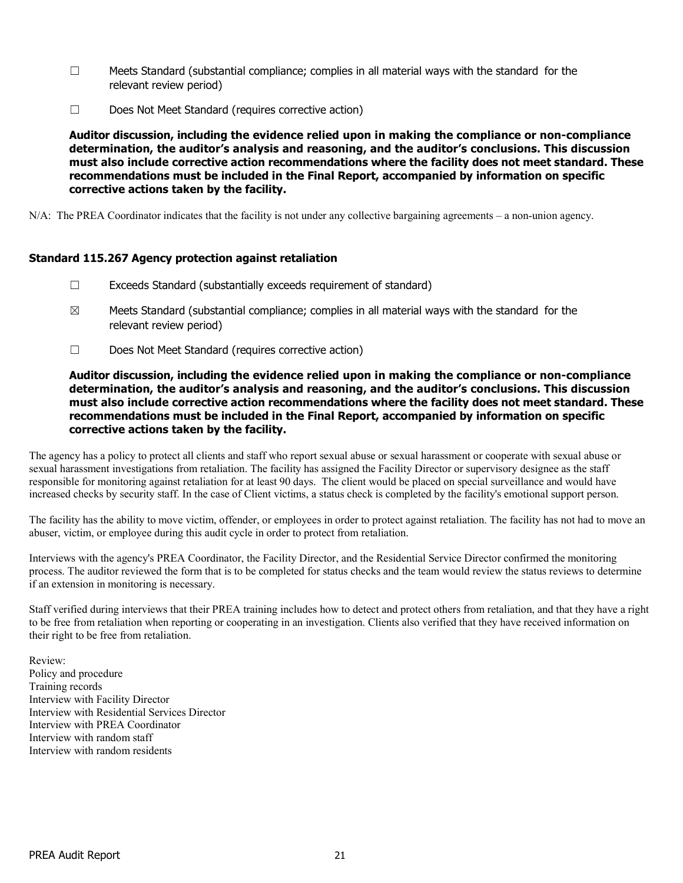- $\square$  Meets Standard (substantial compliance; complies in all material ways with the standard for the relevant review period)
- ☐ Does Not Meet Standard (requires corrective action)

Auditor discussion, including the evidence relied upon in making the compliance or non-compliance determination, the auditor's analysis and reasoning, and the auditor's conclusions. This discussion must also include corrective action recommendations where the facility does not meet standard. These recommendations must be included in the Final Report, accompanied by information on specific corrective actions taken by the facility.

N/A: The PREA Coordinator indicates that the facility is not under any collective bargaining agreements – a non-union agency.

# Standard 115.267 Agency protection against retaliation

- ☐ Exceeds Standard (substantially exceeds requirement of standard)
- $\boxtimes$  Meets Standard (substantial compliance; complies in all material ways with the standard for the relevant review period)
- ☐ Does Not Meet Standard (requires corrective action)

### Auditor discussion, including the evidence relied upon in making the compliance or non-compliance determination, the auditor's analysis and reasoning, and the auditor's conclusions. This discussion must also include corrective action recommendations where the facility does not meet standard. These recommendations must be included in the Final Report, accompanied by information on specific corrective actions taken by the facility.

The agency has a policy to protect all clients and staff who report sexual abuse or sexual harassment or cooperate with sexual abuse or sexual harassment investigations from retaliation. The facility has assigned the Facility Director or supervisory designee as the staff responsible for monitoring against retaliation for at least 90 days. The client would be placed on special surveillance and would have increased checks by security staff. In the case of Client victims, a status check is completed by the facility's emotional support person.

The facility has the ability to move victim, offender, or employees in order to protect against retaliation. The facility has not had to move an abuser, victim, or employee during this audit cycle in order to protect from retaliation.

Interviews with the agency's PREA Coordinator, the Facility Director, and the Residential Service Director confirmed the monitoring process. The auditor reviewed the form that is to be completed for status checks and the team would review the status reviews to determine if an extension in monitoring is necessary.

Staff verified during interviews that their PREA training includes how to detect and protect others from retaliation, and that they have a right to be free from retaliation when reporting or cooperating in an investigation. Clients also verified that they have received information on their right to be free from retaliation.

Review: Policy and procedure Training records Interview with Facility Director Interview with Residential Services Director Interview with PREA Coordinator Interview with random staff Interview with random residents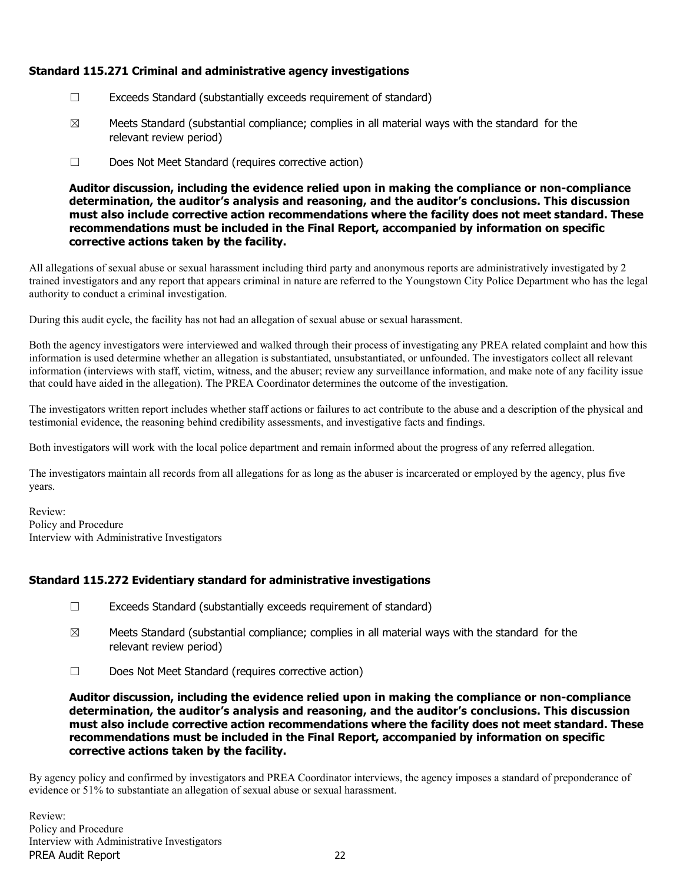# Standard 115.271 Criminal and administrative agency investigations

- ☐ Exceeds Standard (substantially exceeds requirement of standard)
- $\boxtimes$  Meets Standard (substantial compliance; complies in all material ways with the standard for the relevant review period)
- ☐ Does Not Meet Standard (requires corrective action)

Auditor discussion, including the evidence relied upon in making the compliance or non-compliance determination, the auditor's analysis and reasoning, and the auditor's conclusions. This discussion must also include corrective action recommendations where the facility does not meet standard. These recommendations must be included in the Final Report, accompanied by information on specific corrective actions taken by the facility.

All allegations of sexual abuse or sexual harassment including third party and anonymous reports are administratively investigated by 2 trained investigators and any report that appears criminal in nature are referred to the Youngstown City Police Department who has the legal authority to conduct a criminal investigation.

During this audit cycle, the facility has not had an allegation of sexual abuse or sexual harassment.

Both the agency investigators were interviewed and walked through their process of investigating any PREA related complaint and how this information is used determine whether an allegation is substantiated, unsubstantiated, or unfounded. The investigators collect all relevant information (interviews with staff, victim, witness, and the abuser; review any surveillance information, and make note of any facility issue that could have aided in the allegation). The PREA Coordinator determines the outcome of the investigation.

The investigators written report includes whether staff actions or failures to act contribute to the abuse and a description of the physical and testimonial evidence, the reasoning behind credibility assessments, and investigative facts and findings.

Both investigators will work with the local police department and remain informed about the progress of any referred allegation.

The investigators maintain all records from all allegations for as long as the abuser is incarcerated or employed by the agency, plus five years.

Review: Policy and Procedure Interview with Administrative Investigators

# Standard 115.272 Evidentiary standard for administrative investigations

- ☐ Exceeds Standard (substantially exceeds requirement of standard)
- $\boxtimes$  Meets Standard (substantial compliance; complies in all material ways with the standard for the relevant review period)
- ☐ Does Not Meet Standard (requires corrective action)

Auditor discussion, including the evidence relied upon in making the compliance or non-compliance determination, the auditor's analysis and reasoning, and the auditor's conclusions. This discussion must also include corrective action recommendations where the facility does not meet standard. These recommendations must be included in the Final Report, accompanied by information on specific corrective actions taken by the facility.

By agency policy and confirmed by investigators and PREA Coordinator interviews, the agency imposes a standard of preponderance of evidence or 51% to substantiate an allegation of sexual abuse or sexual harassment.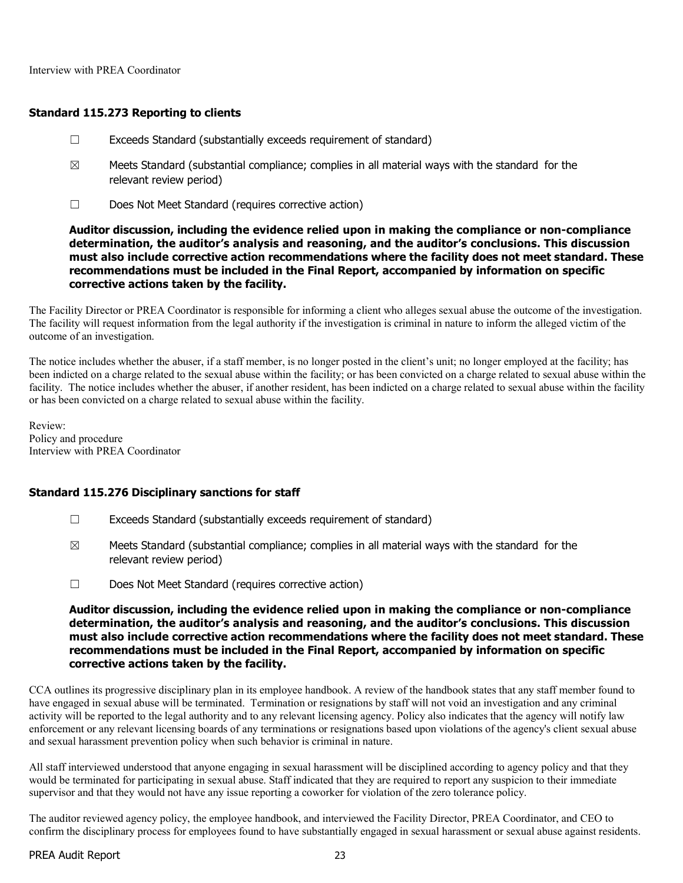Interview with PREA Coordinator

### Standard 115.273 Reporting to clients

- ☐ Exceeds Standard (substantially exceeds requirement of standard)
- $\boxtimes$  Meets Standard (substantial compliance; complies in all material ways with the standard for the relevant review period)
- ☐ Does Not Meet Standard (requires corrective action)

Auditor discussion, including the evidence relied upon in making the compliance or non-compliance determination, the auditor's analysis and reasoning, and the auditor's conclusions. This discussion must also include corrective action recommendations where the facility does not meet standard. These recommendations must be included in the Final Report, accompanied by information on specific corrective actions taken by the facility.

The Facility Director or PREA Coordinator is responsible for informing a client who alleges sexual abuse the outcome of the investigation. The facility will request information from the legal authority if the investigation is criminal in nature to inform the alleged victim of the outcome of an investigation.

The notice includes whether the abuser, if a staff member, is no longer posted in the client's unit; no longer employed at the facility; has been indicted on a charge related to the sexual abuse within the facility; or has been convicted on a charge related to sexual abuse within the facility. The notice includes whether the abuser, if another resident, has been indicted on a charge related to sexual abuse within the facility or has been convicted on a charge related to sexual abuse within the facility.

Review: Policy and procedure Interview with PREA Coordinator

### Standard 115.276 Disciplinary sanctions for staff

- ☐ Exceeds Standard (substantially exceeds requirement of standard)
- $\boxtimes$  Meets Standard (substantial compliance; complies in all material ways with the standard for the relevant review period)
- ☐ Does Not Meet Standard (requires corrective action)

Auditor discussion, including the evidence relied upon in making the compliance or non-compliance determination, the auditor's analysis and reasoning, and the auditor's conclusions. This discussion must also include corrective action recommendations where the facility does not meet standard. These recommendations must be included in the Final Report, accompanied by information on specific corrective actions taken by the facility.

CCA outlines its progressive disciplinary plan in its employee handbook. A review of the handbook states that any staff member found to have engaged in sexual abuse will be terminated. Termination or resignations by staff will not void an investigation and any criminal activity will be reported to the legal authority and to any relevant licensing agency. Policy also indicates that the agency will notify law enforcement or any relevant licensing boards of any terminations or resignations based upon violations of the agency's client sexual abuse and sexual harassment prevention policy when such behavior is criminal in nature.

All staff interviewed understood that anyone engaging in sexual harassment will be disciplined according to agency policy and that they would be terminated for participating in sexual abuse. Staff indicated that they are required to report any suspicion to their immediate supervisor and that they would not have any issue reporting a coworker for violation of the zero tolerance policy.

The auditor reviewed agency policy, the employee handbook, and interviewed the Facility Director, PREA Coordinator, and CEO to confirm the disciplinary process for employees found to have substantially engaged in sexual harassment or sexual abuse against residents.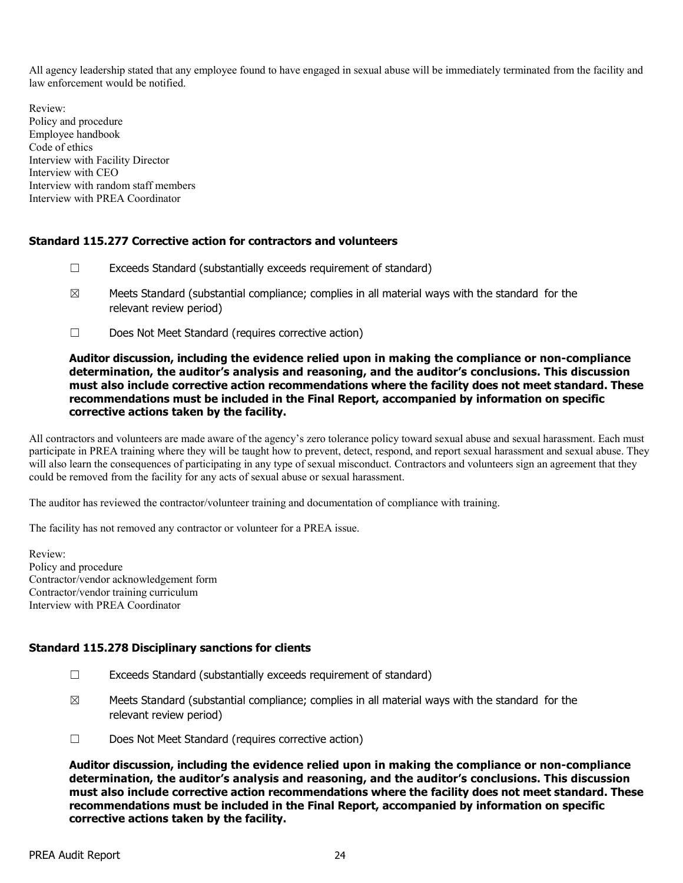All agency leadership stated that any employee found to have engaged in sexual abuse will be immediately terminated from the facility and law enforcement would be notified.

Review: Policy and procedure Employee handbook Code of ethics Interview with Facility Director Interview with CEO Interview with random staff members Interview with PREA Coordinator

### Standard 115.277 Corrective action for contractors and volunteers

- ☐ Exceeds Standard (substantially exceeds requirement of standard)
- $\boxtimes$  Meets Standard (substantial compliance; complies in all material ways with the standard for the relevant review period)
- ☐ Does Not Meet Standard (requires corrective action)

### Auditor discussion, including the evidence relied upon in making the compliance or non-compliance determination, the auditor's analysis and reasoning, and the auditor's conclusions. This discussion must also include corrective action recommendations where the facility does not meet standard. These recommendations must be included in the Final Report, accompanied by information on specific corrective actions taken by the facility.

All contractors and volunteers are made aware of the agency's zero tolerance policy toward sexual abuse and sexual harassment. Each must participate in PREA training where they will be taught how to prevent, detect, respond, and report sexual harassment and sexual abuse. They will also learn the consequences of participating in any type of sexual misconduct. Contractors and volunteers sign an agreement that they could be removed from the facility for any acts of sexual abuse or sexual harassment.

The auditor has reviewed the contractor/volunteer training and documentation of compliance with training.

The facility has not removed any contractor or volunteer for a PREA issue.

Review: Policy and procedure Contractor/vendor acknowledgement form Contractor/vendor training curriculum Interview with PREA Coordinator

# Standard 115.278 Disciplinary sanctions for clients

- ☐ Exceeds Standard (substantially exceeds requirement of standard)
- $\boxtimes$  Meets Standard (substantial compliance; complies in all material ways with the standard for the relevant review period)
- ☐ Does Not Meet Standard (requires corrective action)

Auditor discussion, including the evidence relied upon in making the compliance or non-compliance determination, the auditor's analysis and reasoning, and the auditor's conclusions. This discussion must also include corrective action recommendations where the facility does not meet standard. These recommendations must be included in the Final Report, accompanied by information on specific corrective actions taken by the facility.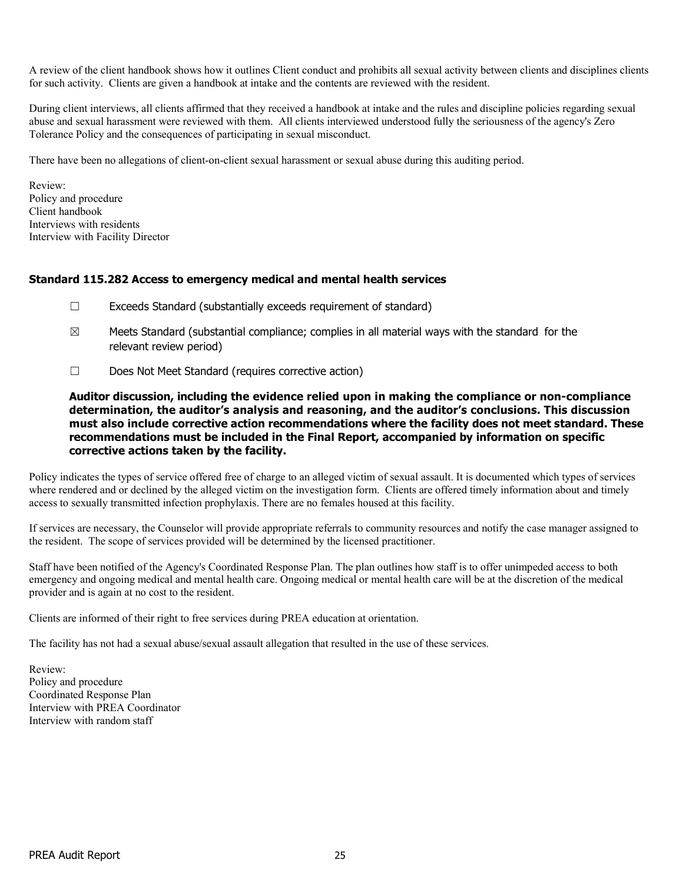A review of the client handbook shows how it outlines Client conduct and prohibits all sexual activity between clients and disciplines clients for such activity. Clients are given a handbook at intake and the contents are reviewed with the resident.

During client interviews, all clients affirmed that they received a handbook at intake and the rules and discipline policies regarding sexual abuse and sexual harassment were reviewed with them. All clients interviewed understood fully the seriousness of the agency's Zero Tolerance Policy and the consequences of participating in sexual misconduct.

There have been no allegations of client-on-client sexual harassment or sexual abuse during this auditing period.

Review: Policy and procedure Client handbook Interviews with residents Interview with Facility Director

### Standard 115.282 Access to emergency medical and mental health services

- ☐ Exceeds Standard (substantially exceeds requirement of standard)
- $\boxtimes$  Meets Standard (substantial compliance; complies in all material ways with the standard for the relevant review period)
- ☐ Does Not Meet Standard (requires corrective action)

Auditor discussion, including the evidence relied upon in making the compliance or non-compliance determination, the auditor's analysis and reasoning, and the auditor's conclusions. This discussion must also include corrective action recommendations where the facility does not meet standard. These recommendations must be included in the Final Report, accompanied by information on specific corrective actions taken by the facility.

Policy indicates the types of service offered free of charge to an alleged victim of sexual assault. It is documented which types of services where rendered and or declined by the alleged victim on the investigation form. Clients are offered timely information about and timely access to sexually transmitted infection prophylaxis. There are no females housed at this facility.

If services are necessary, the Counselor will provide appropriate referrals to community resources and notify the case manager assigned to the resident. The scope of services provided will be determined by the licensed practitioner.

Staff have been notified of the Agency's Coordinated Response Plan. The plan outlines how staff is to offer unimpeded access to both emergency and ongoing medical and mental health care. Ongoing medical or mental health care will be at the discretion of the medical provider and is again at no cost to the resident.

Clients are informed of their right to free services during PREA education at orientation.

The facility has not had a sexual abuse/sexual assault allegation that resulted in the use of these services.

Review: Policy and procedure Coordinated Response Plan Interview with PREA Coordinator Interview with random staff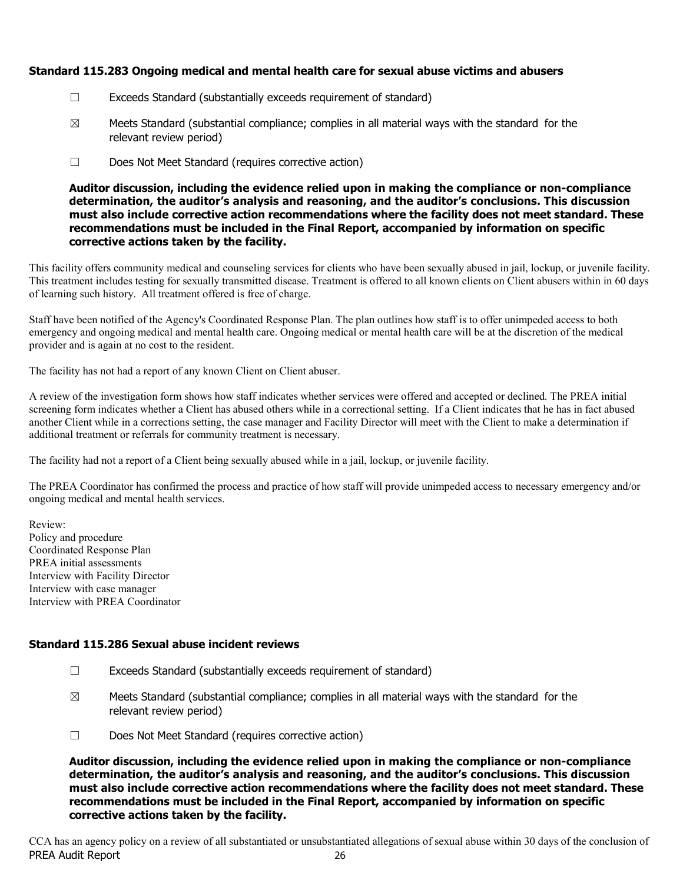# Standard 115.283 Ongoing medical and mental health care for sexual abuse victims and abusers

- ☐ Exceeds Standard (substantially exceeds requirement of standard)
- $\boxtimes$  Meets Standard (substantial compliance; complies in all material ways with the standard for the relevant review period)
- ☐ Does Not Meet Standard (requires corrective action)

Auditor discussion, including the evidence relied upon in making the compliance or non-compliance determination, the auditor's analysis and reasoning, and the auditor's conclusions. This discussion must also include corrective action recommendations where the facility does not meet standard. These recommendations must be included in the Final Report, accompanied by information on specific corrective actions taken by the facility.

This facility offers community medical and counseling services for clients who have been sexually abused in jail, lockup, or juvenile facility. This treatment includes testing for sexually transmitted disease. Treatment is offered to all known clients on Client abusers within in 60 days of learning such history. All treatment offered is free of charge.

Staff have been notified of the Agency's Coordinated Response Plan. The plan outlines how staff is to offer unimpeded access to both emergency and ongoing medical and mental health care. Ongoing medical or mental health care will be at the discretion of the medical provider and is again at no cost to the resident.

The facility has not had a report of any known Client on Client abuser.

A review of the investigation form shows how staff indicates whether services were offered and accepted or declined. The PREA initial screening form indicates whether a Client has abused others while in a correctional setting. If a Client indicates that he has in fact abused another Client while in a corrections setting, the case manager and Facility Director will meet with the Client to make a determination if additional treatment or referrals for community treatment is necessary.

The facility had not a report of a Client being sexually abused while in a jail, lockup, or juvenile facility.

The PREA Coordinator has confirmed the process and practice of how staff will provide unimpeded access to necessary emergency and/or ongoing medical and mental health services.

Review: Policy and procedure Coordinated Response Plan PREA initial assessments Interview with Facility Director Interview with case manager Interview with PREA Coordinator

# Standard 115.286 Sexual abuse incident reviews

- ☐ Exceeds Standard (substantially exceeds requirement of standard)
- $\boxtimes$  Meets Standard (substantial compliance; complies in all material ways with the standard for the relevant review period)
- ☐ Does Not Meet Standard (requires corrective action)

Auditor discussion, including the evidence relied upon in making the compliance or non-compliance determination, the auditor's analysis and reasoning, and the auditor's conclusions. This discussion must also include corrective action recommendations where the facility does not meet standard. These recommendations must be included in the Final Report, accompanied by information on specific corrective actions taken by the facility.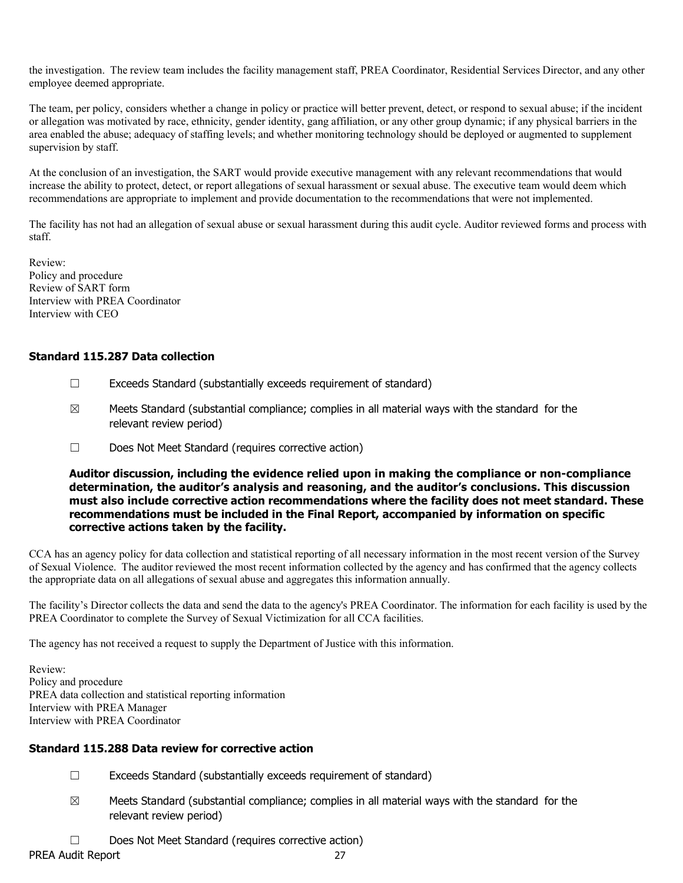the investigation. The review team includes the facility management staff, PREA Coordinator, Residential Services Director, and any other employee deemed appropriate.

The team, per policy, considers whether a change in policy or practice will better prevent, detect, or respond to sexual abuse; if the incident or allegation was motivated by race, ethnicity, gender identity, gang affiliation, or any other group dynamic; if any physical barriers in the area enabled the abuse; adequacy of staffing levels; and whether monitoring technology should be deployed or augmented to supplement supervision by staff.

At the conclusion of an investigation, the SART would provide executive management with any relevant recommendations that would increase the ability to protect, detect, or report allegations of sexual harassment or sexual abuse. The executive team would deem which recommendations are appropriate to implement and provide documentation to the recommendations that were not implemented.

The facility has not had an allegation of sexual abuse or sexual harassment during this audit cycle. Auditor reviewed forms and process with staff.

Review: Policy and procedure Review of SART form Interview with PREA Coordinator Interview with CEO

# Standard 115.287 Data collection

- ☐ Exceeds Standard (substantially exceeds requirement of standard)
- $\boxtimes$  Meets Standard (substantial compliance; complies in all material ways with the standard for the relevant review period)
- ☐ Does Not Meet Standard (requires corrective action)

Auditor discussion, including the evidence relied upon in making the compliance or non-compliance determination, the auditor's analysis and reasoning, and the auditor's conclusions. This discussion must also include corrective action recommendations where the facility does not meet standard. These recommendations must be included in the Final Report, accompanied by information on specific corrective actions taken by the facility.

CCA has an agency policy for data collection and statistical reporting of all necessary information in the most recent version of the Survey of Sexual Violence. The auditor reviewed the most recent information collected by the agency and has confirmed that the agency collects the appropriate data on all allegations of sexual abuse and aggregates this information annually.

The facility's Director collects the data and send the data to the agency's PREA Coordinator. The information for each facility is used by the PREA Coordinator to complete the Survey of Sexual Victimization for all CCA facilities.

The agency has not received a request to supply the Department of Justice with this information.

Review: Policy and procedure PREA data collection and statistical reporting information Interview with PREA Manager Interview with PREA Coordinator

# Standard 115.288 Data review for corrective action

- ☐ Exceeds Standard (substantially exceeds requirement of standard)
- $\boxtimes$  Meets Standard (substantial compliance; complies in all material ways with the standard for the relevant review period)
- ☐ Does Not Meet Standard (requires corrective action)

PREA Audit Report 27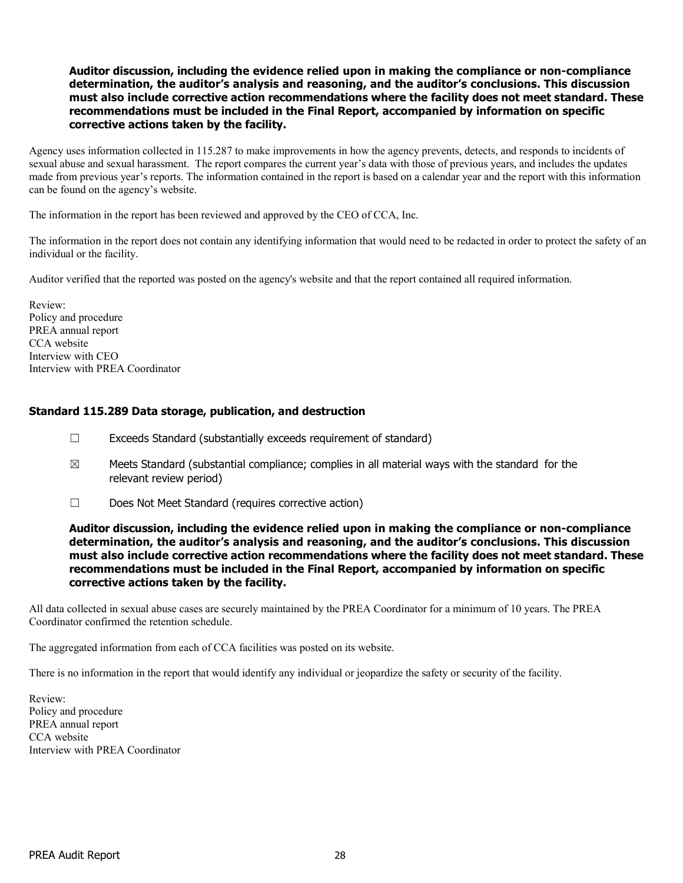### Auditor discussion, including the evidence relied upon in making the compliance or non-compliance determination, the auditor's analysis and reasoning, and the auditor's conclusions. This discussion must also include corrective action recommendations where the facility does not meet standard. These recommendations must be included in the Final Report, accompanied by information on specific corrective actions taken by the facility.

Agency uses information collected in 115.287 to make improvements in how the agency prevents, detects, and responds to incidents of sexual abuse and sexual harassment. The report compares the current year's data with those of previous years, and includes the updates made from previous year's reports. The information contained in the report is based on a calendar year and the report with this information can be found on the agency's website.

The information in the report has been reviewed and approved by the CEO of CCA, Inc.

The information in the report does not contain any identifying information that would need to be redacted in order to protect the safety of an individual or the facility.

Auditor verified that the reported was posted on the agency's website and that the report contained all required information.

Review: Policy and procedure PREA annual report CCA website Interview with CEO Interview with PREA Coordinator

### Standard 115.289 Data storage, publication, and destruction

- ☐ Exceeds Standard (substantially exceeds requirement of standard)
- $\boxtimes$  Meets Standard (substantial compliance; complies in all material ways with the standard for the relevant review period)
- ☐ Does Not Meet Standard (requires corrective action)

Auditor discussion, including the evidence relied upon in making the compliance or non-compliance determination, the auditor's analysis and reasoning, and the auditor's conclusions. This discussion must also include corrective action recommendations where the facility does not meet standard. These recommendations must be included in the Final Report, accompanied by information on specific corrective actions taken by the facility.

All data collected in sexual abuse cases are securely maintained by the PREA Coordinator for a minimum of 10 years. The PREA Coordinator confirmed the retention schedule.

The aggregated information from each of CCA facilities was posted on its website.

There is no information in the report that would identify any individual or jeopardize the safety or security of the facility.

Review: Policy and procedure PREA annual report CCA website Interview with PREA Coordinator